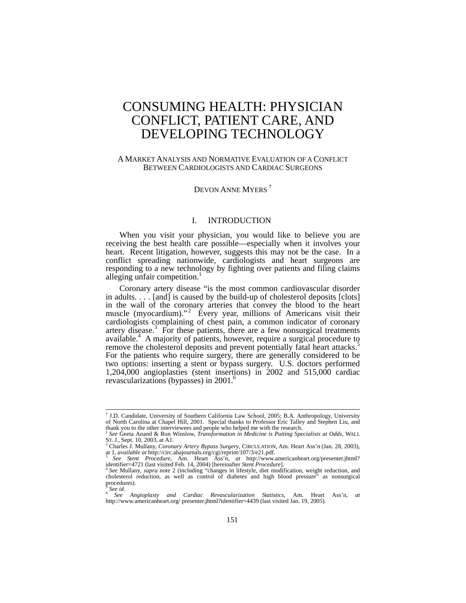# CONSUMING HEALTH: PHYSICIAN CONFLICT, PATIENT CARE, AND DEVELOPING TECHNOLOGY

# A MARKET ANALYSIS AND NORMATIVE EVALUATION OF A CONFLICT BETWEEN CARDIOLOGISTS AND CARDIAC SURGEONS

# DEVON ANNE MYERS<sup>†</sup>

#### I. INTRODUCTION

When you visit your physician, you would like to believe you are receiving the best health care possible—especially when it involves your heart. Recent litigation, however, suggests this may not be the case. In a conflict spreading nationwide, cardiologists and heart surgeons are responding to a new technology by fighting over patients and filing claims alleging unfair competition.

Coronary artery disease "is the most common cardiovascular disorder in adults. . . . [and] is caused by the build-up of cholesterol deposits [clots] in the wall of the coronary arteries that convey the blood to the heart muscle (myocardium)."<sup>2</sup> Every year, millions of Americans visit their cardiologists complaining of chest pain, a common indicator of coronary artery disease.<sup>3</sup> For these patients, there are a few nonsurgical treatments available.<sup>4</sup> A majority of patients, however, require a surgical procedure to remove the cholesterol deposits and prevent potentially fatal heart attacks.<sup>5</sup> For the patients who require surgery, there are generally considered to be two options: inserting a stent or bypass surgery. U.S. doctors performed 1,204,000 angioplasties (stent insertions) in 2002 and 515,000 cardiac revascularizations (bypasses) in 2001.<sup>6</sup>

 <sup>†</sup> <sup>†</sup> J.D. Candidate, University of Southern California Law School, 2005; B.A. Anthropology, University of North Carolina at Chapel Hill, 2001. Special thanks to Professor Eric Talley and Stephen Liu, and

See Geeta Anand & Ron Winslow, *Transformation in Medicine is Putting Specialists at Odds*, WALL ST. J., Sept. 10, 2003, at A1. 2 Charles J. Mullany, *Coronary Artery Bypass Surgery*, CIRCULATION, Am. Heart Ass'n (Jan. 28, 2003),

at 1, *available at* http://circ.ahajournals.org/cgi/reprint/107/3/e21.pdf. 3 *See Stent Procedure*, Am. Heart Ass'n, *at* http://www.americanheart.org/presenter.jhtml? identifier=4721 (last visited Feb. 14, 2004) [hereina

identifier=4721 (last visited Feb. 14, 2004) [hereinafter *Stent Procedure*].<br><sup>4</sup> See Mullany, *supra* note 2 (including "changes in lifestyle, diet modification, weight reduction, and cholesterol reduction, as well as con procedures).<br> $\frac{5}{6}$  See id.

<sup>5</sup> *See id*. 6 *See Angioplasty and Cardiac Revascularization Statistics*, Am. Heart Ass'n, *at* http://www.americanheart.org/ presenter.jhtml?identifier=4439 (last visited Jan. 19, 2005).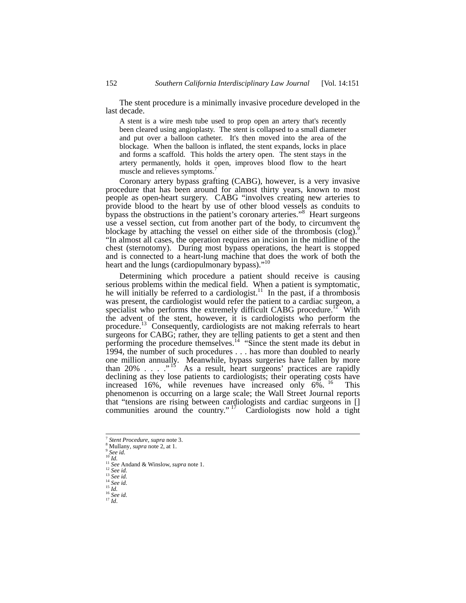The stent procedure is a minimally invasive procedure developed in the last decade.

A stent is a wire mesh tube used to prop open an artery that's recently been cleared using angioplasty. The stent is collapsed to a small diameter and put over a balloon catheter. It's then moved into the area of the blockage. When the balloon is inflated, the stent expands, locks in place and forms a scaffold. This holds the artery open. The stent stays in the artery permanently, holds it open, improves blood flow to the heart muscle and relieves symptoms.<sup>7</sup>

Coronary artery bypass grafting (CABG), however, is a very invasive procedure that has been around for almost thirty years, known to most people as open-heart surgery. CABG "involves creating new arteries to provide blood to the heart by use of other blood vessels as conduits to bypass the obstructions in the patient's coronary arteries."<sup>8</sup> Heart surgeons use a vessel section, cut from another part of the body, to circumvent the blockage by attaching the vessel on either side of the thrombosis (clog).<sup>9</sup> "In almost all cases, the operation requires an incision in the midline of the chest (sternotomy). During most bypass operations, the heart is stopped and is connected to a heart-lung machine that does the work of both the heart and the lungs (cardiopulmonary bypass)."<sup>10</sup>

Determining which procedure a patient should receive is causing serious problems within the medical field. When a patient is symptomatic, he will initially be referred to a cardiologist.<sup>11</sup> In the past, if a thrombosis was present, the cardiologist would refer the patient to a cardiac surgeon, a specialist who performs the extremely difficult CABG procedure.<sup>17</sup> With the advent of the stent, however, it is cardiologists who perform the procedure.<sup>13</sup> Consequently, cardiologists are not making referrals to heart surgeons for CABG; rather, they are telling patients to get a stent and then performing the procedure themselves.<sup>14</sup> "Since the stent made its debut in 1994, the number of such procedures . . . has more than doubled to nearly one million annually. Meanwhile, bypass surgeries have fallen by more than 20%  $\ldots$  .  $\cdot$  <sup>15</sup> As a result, heart surgeons' practices are rapidly declining as they lose patients to cardiologists; their operating costs have increased 16%, while revenues have increased only 6%. <sup>16</sup> This phenomenon is occurring on a large scale; the Wall Street Journal reports that "tensions are rising between cardiologists and cardiac surgeons in [] communities around the country."  $17$  Cardiologists now hold a tight

<sup>-&</sup>lt;br>7 <sup>7</sup> *Stent Procedure*, *supra* note 3.<br><sup>8</sup> Mullany, *supra* note 2, at 1.<br><sup>9</sup> *See id.*<br><sup>10</sup> *Id.* 

Mullany, *supra* note 2, at 1.

<sup>11</sup> *See* Andand & Winslow, *supra* note 1.<br>
<sup>12</sup> *See id.*<br>
<sup>13</sup> *See id.*<br>
<sup>14</sup> *See id.*<br>
<sup>15</sup> *Id.*<br>
<sup>16</sup> *See id.*<br>
<sup>17</sup> *Id.*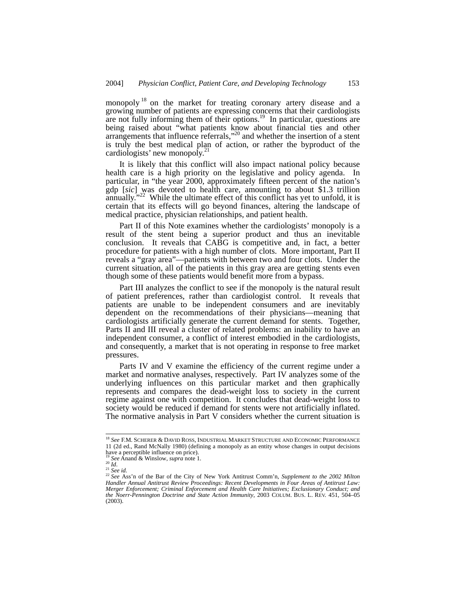monopoly <sup>18</sup> on the market for treating coronary artery disease and a growing number of patients are expressing concerns that their cardiologists are not fully informing them of their options.<sup>19</sup> In particular, questions are being raised about "what patients know about financial ties and other arrangements that influence referrals,"<sup>20</sup> and whether the insertion of a stent is truly the best medical plan of action, or rather the byproduct of the cardiologists' new monopoly.<sup>2</sup>

It is likely that this conflict will also impact national policy because health care is a high priority on the legislative and policy agenda. In particular, in "the year 2000, approximately fifteen percent of the nation's gdp [*sic*] was devoted to health care, amounting to about \$1.3 trillion annually. $12^{22}$  While the ultimate effect of this conflict has yet to unfold, it is certain that its effects will go beyond finances, altering the landscape of medical practice, physician relationships, and patient health.

Part II of this Note examines whether the cardiologists' monopoly is a result of the stent being a superior product and thus an inevitable conclusion. It reveals that CABG is competitive and, in fact, a better procedure for patients with a high number of clots. More important, Part II reveals a "gray area"—patients with between two and four clots. Under the current situation, all of the patients in this gray area are getting stents even though some of these patients would benefit more from a bypass.

Part III analyzes the conflict to see if the monopoly is the natural result of patient preferences, rather than cardiologist control. It reveals that patients are unable to be independent consumers and are inevitably dependent on the recommendations of their physicians—meaning that cardiologists artificially generate the current demand for stents. Together, Parts II and III reveal a cluster of related problems: an inability to have an independent consumer, a conflict of interest embodied in the cardiologists, and consequently, a market that is not operating in response to free market pressures.

Parts IV and V examine the efficiency of the current regime under a market and normative analyses, respectively. Part IV analyzes some of the underlying influences on this particular market and then graphically represents and compares the dead-weight loss to society in the current regime against one with competition. It concludes that dead-weight loss to society would be reduced if demand for stents were not artificially inflated. The normative analysis in Part V considers whether the current situation is

 <sup>18</sup> *See* F.M. SCHERER & DAVID ROSS, INDUSTRIAL MARKET STRUCTURE AND ECONOMIC PERFORMANCE 11 (2d ed., Rand McNally 1980) (defining a monopoly as an entity whose changes in output decisions have a perceptible influence on price).

<sup>19</sup> *See* Anand & Winslow, *supra* note 1.<br>
<sup>20</sup> *Id.*<br>
<sup>21</sup> *See* Anand & Winslow, *supra* note 1.<br>
<sup>22</sup> *See id.*<br>
<sup>22</sup> *See* Ass'n of the Bar of the City of New York Antitrust Comm'n, *Supplement to the 2002 Milton Handler Annual Antitrust Review Proceedings: Recent Developments in Four Areas of Antitrust Law: Merger Enforcement; Criminal Enforcement and Health Care Initiatives; Exclusionary Conduct; and the Noerr-Pennington Doctrine and State Action Immunity*, 2003 COLUM. BUS. L. REV. 451, 504–05 (2003).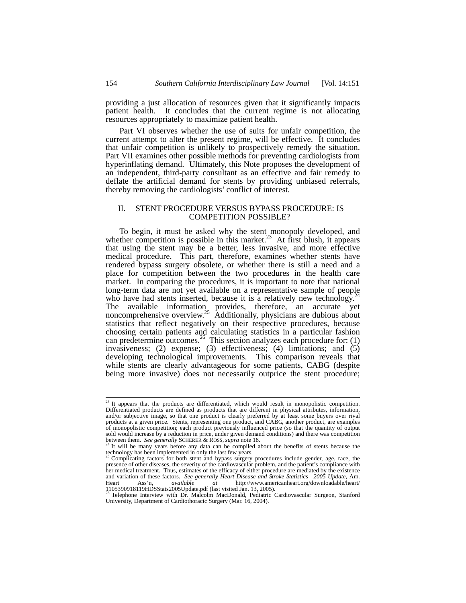providing a just allocation of resources given that it significantly impacts patient health. It concludes that the current regime is not allocating resources appropriately to maximize patient health.

Part VI observes whether the use of suits for unfair competition, the current attempt to alter the present regime, will be effective. It concludes that unfair competition is unlikely to prospectively remedy the situation. Part VII examines other possible methods for preventing cardiologists from hyperinflating demand. Ultimately, this Note proposes the development of an independent, third-party consultant as an effective and fair remedy to deflate the artificial demand for stents by providing unbiased referrals, thereby removing the cardiologists' conflict of interest.

# II. STENT PROCEDURE VERSUS BYPASS PROCEDURE: IS COMPETITION POSSIBLE?

To begin, it must be asked why the stent monopoly developed, and whether competition is possible in this market.<sup>23</sup> At first blush, it appears that using the stent may be a better, less invasive, and more effective medical procedure. This part, therefore, examines whether stents have rendered bypass surgery obsolete, or whether there is still a need and a place for competition between the two procedures in the health care market. In comparing the procedures, it is important to note that national long-term data are not yet available on a representative sample of people who have had stents inserted, because it is a relatively new technology.<sup>2</sup> The available information provides, therefore, an accurate yet noncomprehensive overview.<sup>25</sup> Additionally, physicians are dubious about statistics that reflect negatively on their respective procedures, because choosing certain patients and calculating statistics in a particular fashion can predetermine outcomes.<sup>26</sup> This section analyzes each procedure for: (1) invasiveness; (2) expense; (3) effectiveness; (4) limitations; and (5) developing technological improvements. This comparison reveals that while stents are clearly advantageous for some patients, CABG (despite being more invasive) does not necessarily outprice the stent procedure;

<sup>&</sup>lt;sup>23</sup> It appears that the products are differentiated, which would result in monopolistic competition. Differentiated products are defined as products that are different in physical attributes, information, and/or subjective image, so that one product is clearly preferred by at least some buyers over rival products at a given price. Stents, representing one product, and CABG, another product, are examples of monopolistic competition; each product previously influenced price (so that the quantity of output sold would increase by a reduction in price, under given demand conditions) and there was competition between them. *See generally* SCHERER & ROSS, *supra* note 18.<br><sup>24</sup> It will be many years before any data can be compiled about the benefits of stents because the

technology has been implemented in only the last few years.<br><sup>25</sup> Complicating factors for both stent and bypass surgery procedures include gender, age, race, the

presence of other diseases, the severity of the cardiovascular problem, and the patient's compliance with her medical treatment. Thus, estimates of the efficacy of either procedure are mediated by the existence and variation of these factors. *See generally Heart Disease and Stroke Statistics—2005 Update*, Am. Heart Ass'n, *available at* http://www.americanheart.org/downloadable/heart/<br>1105390918119HDSStats2005Update.pdf (last visited Jan. 13, 2005).<br><sup>26</sup> Telephone Interview with Dr. Malcolm MacDonald, Pediatric Cardiovascular S

University, Department of Cardiothoracic Surgery (Mar. 16, 2004).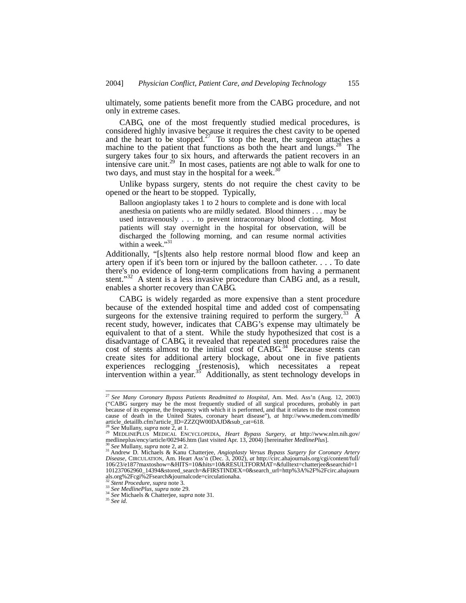ultimately, some patients benefit more from the CABG procedure, and not only in extreme cases.

CABG, one of the most frequently studied medical procedures, is considered highly invasive because it requires the chest cavity to be opened and the heart to be stopped.<sup>27</sup> To stop the heart, the surgeon attaches a machine to the patient that functions as both the heart and lungs.<sup>28</sup> The surgery takes four to six hours, and afterwards the patient recovers in an intensive care unit.<sup>29</sup> In most cases, patients are not able to walk for one to two days, and must stay in the hospital for a week. $30$ 

Unlike bypass surgery, stents do not require the chest cavity to be opened or the heart to be stopped. Typically,

Balloon angioplasty takes 1 to 2 hours to complete and is done with local anesthesia on patients who are mildly sedated. Blood thinners . . . may be used intravenously . . . to prevent intracoronary blood clotting. Most patients will stay overnight in the hospital for observation, will be discharged the following morning, and can resume normal activities within a week."<sup>31</sup>

Additionally, "[s]tents also help restore normal blood flow and keep an artery open if it's been torn or injured by the balloon catheter. . . . To date there's no evidence of long-term complications from having a permanent stent." $32$  A stent is a less invasive procedure than CABG and, as a result, enables a shorter recovery than CABG.

CABG is widely regarded as more expensive than a stent procedure because of the extended hospital time and added cost of compensating surgeons for the extensive training required to perform the surgery.<sup>33</sup>  $\AA$ recent study, however, indicates that CABG's expense may ultimately be equivalent to that of a stent. While the study hypothesized that cost is a disadvantage of CABG, it revealed that repeated stent procedures raise the cost of stents almost to the initial cost of CABG.<sup>34</sup> Because stents can create sites for additional artery blockage, about one in five patients experiences reclogging (restenosis), which necessitates a repeat intervention within a year.<sup>35</sup> Additionally, as stent technology develops in

 <sup>27</sup> *See Many Coronary Bypass Patients Readmitted to Hospital*, Am. Med. Ass'n (Aug. 12, 2003) ("CABG surgery may be the most frequently studied of all surgical procedures, probably in part because of its expense, the frequency with which it is performed, and that it relates to the most common cause of death in the United States, coronary heart disease"), *at* http://www.medem.com/medlb/

article\_detaillb.cfm?article\_ID=ZZZQW00DAJD&sub\_cat=618. 28 *See* Mullany, *supra* note 2, at 1. 29 MEDLINEPLUS MEDICAL ENCYCLOPEDIA, *Heart Bypass Surgery*, *at* http://www.nlm.nih.gov/

medlineplus/ency/article/002946.htm (last visited Apr. 13, 2004) [hereinafter *MedlinePlus*].<br><sup>30</sup> See Mullany, *supra* note 2, at 2.<br><sup>31</sup> Andrew D. Michaels & Kanu Chatterjee, *Angioplasty Versus Bypass Surgery for Corona* 106/23/e187?maxtoshow=&HITS=10&hits=10&RESULTFORMAT=&fulltext=chatterjee&searchid=1 101237062960\_14394&stored\_search=&FIRSTINDEX=0&search\_url=http%3A%2F%2Fcirc.ahajourn als.org%2Fcgi%2Fsearch&journalcode=circulationaha.<br><sup>32</sup> Stent Procedure, supra note 3.

<sup>32</sup> *Stent Procedure*, *supra* note 3. 33 *See MedlinePlus*, *supra* note 29. 34 *See* Michaels & Chatterjee, *supra* note 31*.* <sup>35</sup> *See id.*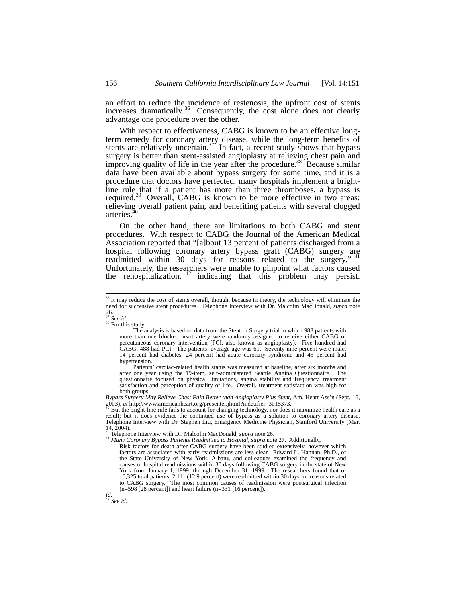an effort to reduce the incidence of restenosis, the upfront cost of stents increases dramatically.<sup>36</sup> Consequently, the cost alone does not clearly advantage one procedure over the other.

With respect to effectiveness, CABG is known to be an effective longterm remedy for coronary artery disease, while the long-term benefits of stents are relatively uncertain.<sup>37</sup> In fact, a recent study shows that bypass surgery is better than stent-assisted angioplasty at relieving chest pain and improving quality of life in the year after the procedure.<sup>38</sup> Because similar data have been available about bypass surgery for some time, and it is a procedure that doctors have perfected, many hospitals implement a brightline rule that if a patient has more than three thromboses, a bypass is required.<sup>39</sup> Overall, CABG is known to be more effective in two areas: relieving overall patient pain, and benefiting patients with several clogged arteries.<sup>2</sup>

On the other hand, there are limitations to both CABG and stent procedures. With respect to CABG, the Journal of the American Medical Association reported that "[a]bout 13 percent of patients discharged from a hospital following coronary artery bypass graft (CABG) surgery are readmitted within 30 days for reasons related to the surgery." <sup>41</sup> Unfortunately, the researchers were unable to pinpoint what factors caused the rehospitalization,  $42$  indicating that this problem may persist.

<sup>38</sup> For this study:

 Patients' cardiac-related health status was measured at baseline, after six months and after one year using the 19-item, self-administered Seattle Angina Questionnaire. The questionnaire focused on physical limitations, angina stability and frequency, treatment satisfaction and perception of quality of life. Overall, treatment satisfaction was high for both groups.

*Bypass Surgery May Relieve Chest Pain Better than Angioplasty Plus Stent*, Am. Heart Ass'n (Sept. 16,  $2003$ ), *at* http://www.americanheart.org/presenter.jhtml?indetifier=3015373.<br><sup>39</sup> But the bright-line rule fails to account for changing technology, nor does it maximize health care as a

result; but it does evidence the continued use of bypass as a solution to coronary artery disease. Telephone Interview with Dr. Stephen Liu, Emergency Medicine Physician, Stanford University (Mar.  $14, 2004$ .<br><sup>40</sup> Telephone Interview with Dr. Malcolm MacDonald, *supra* note 26.

40 Telephone Interview with Dr. Malcolm MacDonald, *supra* note 26. 41 *Many Coronary Bypass Patients Readmitted to Hospital*, *supra* note 27. Additionally,

Risk factors for death after CABG surgery have been studied extensively, however which factors are associated with early readmissions are less clear. Edward L. Hannan, Ph.D., of the State University of New York, Albany, and colleagues examined the frequency and causes of hospital readmissions within 30 days following CABG surgery in the state of New York from January 1, 1999, through December 31, 1999. The researchers found that of 16,325 total patients, 2,111 (12.9 percent) were readmitted within 30 days for reasons related to CABG surgery. The most common causes of readmission were postsurgical infection (n=598 [28 percent]) and heart failure (n=331 [16 percent]).

*Id.*  <sup>42</sup> *See id.*

<sup>&</sup>lt;sup>36</sup> It may reduce the cost of stents overall, though, because in theory, the technology will eliminate the need for successive stent procedures. Telephone Interview with Dr. Malcolm MacDonald, *supra* note  $^{26}_{37}$  See id.

The analysis is based on data from the Stent or Surgery trial in which 988 patients with more than one blocked heart artery were randomly assigned to receive either CABG or percutaneous coronary intervention (PCI, also known as angioplasty). Five hundred had CABG; 488 had PCI. The patients' average age was 61. Seventy-nine percent were male, 14 percent had diabetes, 24 percent had acute coronary syndrome and 45 percent had hypertension.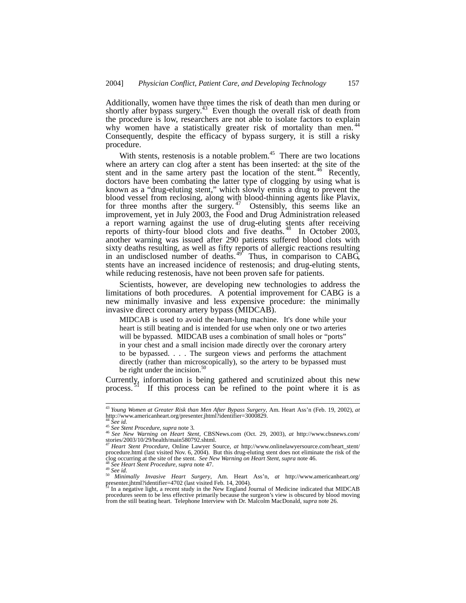Additionally, women have three times the risk of death than men during or shortly after bypass surgery.<sup>43</sup> Even though the overall risk of death from the procedure is low, researchers are not able to isolate factors to explain why women have a statistically greater risk of mortality than men.<sup>44</sup> Consequently, despite the efficacy of bypass surgery, it is still a risky procedure.

With stents, restenosis is a notable problem.<sup> $45$ </sup> There are two locations where an artery can clog after a stent has been inserted: at the site of the stent and in the same artery past the location of the stent.<sup>46</sup> Recently, doctors have been combating the latter type of clogging by using what is known as a "drug-eluting stent," which slowly emits a drug to prevent the blood vessel from reclosing, along with blood-thinning agents like Plavix, for three months after the surgery.<sup>47</sup> Ostensibly, this seems like an improvement, yet in July 2003, the Food and Drug Administration released a report warning against the use of drug-eluting stents after receiving reports of thirty-four blood clots and five deaths.<sup>48</sup> In October 2003, another warning was issued after 290 patients suffered blood clots with sixty deaths resulting, as well as fifty reports of allergic reactions resulting in an undisclosed number of deaths.<sup>49</sup> Thus, in comparison to  $CAB\tilde{G}$ , stents have an increased incidence of restenosis; and drug-eluting stents, while reducing restenosis, have not been proven safe for patients.

Scientists, however, are developing new technologies to address the limitations of both procedures. A potential improvement for CABG is a new minimally invasive and less expensive procedure: the minimally invasive direct coronary artery bypass (MIDCAB).

MIDCAB is used to avoid the heart-lung machine. It's done while your heart is still beating and is intended for use when only one or two arteries will be bypassed. MIDCAB uses a combination of small holes or "ports" in your chest and a small incision made directly over the coronary artery to be bypassed. . . . The surgeon views and performs the attachment directly (rather than microscopically), so the artery to be bypassed must be right under the incision. $50$ 

Currently, information is being gathered and scrutinized about this new process.<sup>51</sup> If this process can be refined to the point where it is as

 <sup>43</sup> *Young Women at Greater Risk than Men After Bypass Surgery*, Am. Heart Ass'n (Feb. 19, 2002), *at*  http://www.americanheart.org/presenter.jhtml?identifier=3000829.<br><sup>44</sup> See id.

<sup>44</sup> *See id.* <sup>45</sup> *See Stent Procedure*, *supra* note 3*.* <sup>46</sup> *See New Warning on Heart Stent*, CBSNews.com (Oct. 29, 2003), *at* http://www.cbsnews.com/ stories/2003/10/29/health/main580792.shtml.

<sup>47</sup> *Heart Stent Procedure*, Online Lawyer Source, *at* http://www.onlinelawyersource.com/heart\_stent/ procedure.html (last visited Nov. 6, 2004). But this drug-eluting stent does not eliminate the risk of the clog occurring at the site of the stent. See New Warning on Heart Stent, supra note 46.<br><sup>48</sup> See Heart Stent Proced clog occurring at the site of the stent. *See New Warning on Heart Stent*, *supra* note 46.<br><sup>48</sup> *See Heart Stent Procedure*, *supra* note 47.<br><sup>49</sup> *See id. Minimally Invasive Heart Surgery*, Am. Heart Ass'n, *at* http:/

presenter.jhtml?identifier=4702 (last visited Feb. 14, 2004). Fresenter.jhtml?identifier=4702 (last visited Feb. 14, 2004).<br><sup>51</sup> In a negative light, a recent study in the New England Journal of Medicine indicated that MIDCAB

procedures seem to be less effective primarily because the surgeon's view is obscured by blood moving from the still beating heart. Telephone Interview with Dr. Malcolm MacDonald, *supra* note 26.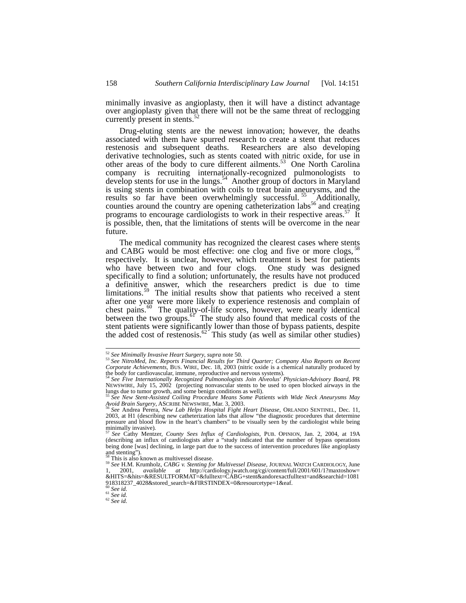minimally invasive as angioplasty, then it will have a distinct advantage over angioplasty given that there will not be the same threat of reclogging currently present in stents.<sup>5</sup>

Drug-eluting stents are the newest innovation; however, the deaths associated with them have spurred research to create a stent that reduces restenosis and subsequent deaths. Researchers are also developing derivative technologies, such as stents coated with nitric oxide, for use in other areas of the body to cure different ailments.<sup>53</sup> One North Carolina company is recruiting internationally-recognized pulmonologists to develop stents for use in the lungs.<sup>54</sup> Another group of doctors in Maryland is using stents in combination with coils to treat brain aneurysms, and the results so far have been overwhelmingly successful.<sup>55</sup> Additionally, counties around the country are opening catheterization labs<sup>56</sup> and creating programs to encourage cardiologists to work in their respective areas.<sup>57</sup> It is possible, then, that the limitations of stents will be overcome in the near future.

The medical community has recognized the clearest cases where stents and CABG would be most effective: one clog and five or more clogs, respectively. It is unclear, however, which treatment is best for patients who have between two and four clogs. One study was designed specifically to find a solution; unfortunately, the results have not produced a definitive answer, which the researchers predict is due to time limitations.<sup>59</sup> The initial results show that patients who received a stent after one year were more likely to experience restenosis and complain of chest pains.<sup>60</sup> The quality-of-life scores, however, were nearly identical between the two groups.<sup>61</sup> The study also found that medical costs of the stent patients were significantly lower than those of bypass patients, despite the added cost of restenosis.<sup>62</sup> This study (as well as similar other studies)

<sup>&</sup>lt;sup>52</sup> See Minimally Invasive Heart Surgery, supra note 50.<br><sup>53</sup> See NitroMed, Inc. Reports Financial Results for Third Quarter; Company Also Reports on Recent<br>Corporate Achievements, BUS. WIRE, Dec. 18, 2003 (nitric oxide i

the body for cardiovascular, immune, reproductive and nervous systems).<br><sup>54</sup> See Five Internationally Recognized Pulmonologists Join Alveolus' Physician-Advisory Board, PR<br>NEWSWIRE, July 15, 2002 (projecting nonvascular st lungs due to tumor growth, and some benign conditions as well).

<sup>&</sup>lt;sup>55</sup> See New Stent-Assisted Coiling Procedure Means Some Patients with Wide Neck Aneurysms May<br>Ayoid Brain Surgery, ASCRIBE NEWSWIRE, Mar. 3, 2003.

*See Andrea Perera, New Lab Helps Hospital Fight Heart Disease, ORLANDO SENTINEL, Dec. 11,* 2003, at H1 (describing new catheterization labs that allow "the diagnostic procedures that determine pressure and blood flow in the heart's chambers" to be visually seen by the cardiologist while being

minimally invasive).<br><sup>57</sup> See Cathy Mentzer, *County Sees Influx of Cardiologists*, PUB. OPINION, Jan. 2, 2004, at 19A<br>(describing an influx of cardiologists after a "study indicated that the number of bypass operations being done [was] declining, in large part due to the success of intervention procedures like angioplasty and stenting").  $\frac{1}{2}$ <br><sup>58</sup> This is also known as multivessel disease.

<sup>58</sup> This is also known as multivessel disease. 59 *See* H.M. Krumholz, *CABG v. Stenting for Multivessel Disease*, JOURNAL WATCH CARDIOLOGY, June 1, 2001, *available at* http://cardiology.jwatch.org/cgi/content/full/2001/601/1?maxtoshow= &HITS=&hits=&RESULTFORMAT=&fulltext=CABG+stent&andorexactfulltext=and&searchid=1081 918318237\_4028&stored\_search=&FIRSTINDEX=0&resourcetype=1&eaf.<br><sup>60</sup> See id

<sup>60</sup> *See id.* <sup>61</sup> *See id.* <sup>62</sup> *See id.*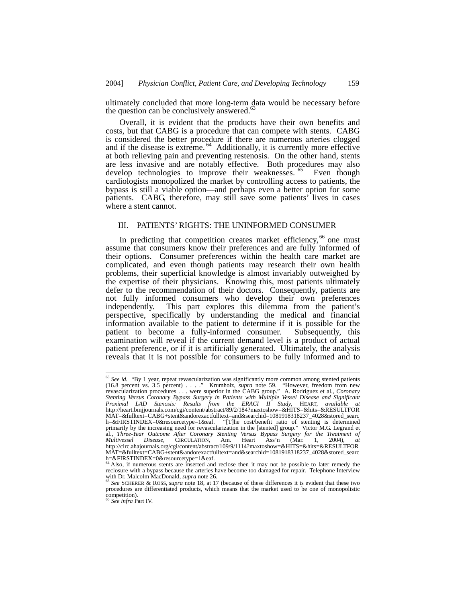ultimately concluded that more long-term data would be necessary before the question can be conclusively answered. $63$ 

Overall, it is evident that the products have their own benefits and costs, but that CABG is a procedure that can compete with stents. CABG is considered the better procedure if there are numerous arteries clogged and if the disease is extreme.<sup>64</sup> Additionally, it is currently more effective at both relieving pain and preventing restenosis. On the other hand, stents are less invasive and are notably effective. Both procedures may also develop technologies to improve their weaknesses. <sup>65</sup> Even though cardiologists monopolized the market by controlling access to patients, the bypass is still a viable option—and perhaps even a better option for some patients. CABG, therefore, may still save some patients' lives in cases where a stent cannot.

# III. PATIENTS' RIGHTS: THE UNINFORMED CONSUMER

In predicting that competition creates market efficiency,  $66$  one must assume that consumers know their preferences and are fully informed of their options. Consumer preferences within the health care market are complicated, and even though patients may research their own health problems, their superficial knowledge is almost invariably outweighed by the expertise of their physicians. Knowing this, most patients ultimately defer to the recommendation of their doctors. Consequently, patients are not fully informed consumers who develop their own preferences independently. This part explores this dilemma from the patient's perspective, specifically by understanding the medical and financial information available to the patient to determine if it is possible for the patient to become a fully-informed consumer. Subsequently, this examination will reveal if the current demand level is a product of actual patient preference, or if it is artificially generated. Ultimately, the analysis reveals that it is not possible for consumers to be fully informed and to

<sup>&</sup>lt;sup>63</sup> See id. "By 1 year, repeat revascularization was significantly more common among stented patients (16.8 percent vs. 3.5 percent) . . . ." Krumholz, *supra* note 59. "However, freedom from new revascularization procedures . . . were superior in the CABG group." A. Rodriguez et al., *Coronary Stenting Versus Coronary Bypass Surgery in Patients with Multiple Vessel Disease and Significant Proximal LAD Stenosis: Results from the ERACI II Study*, HEART, *available at*  http://heart.bmjjournals.com/cgi/content/abstract/89/2/184?maxtoshow=&HITS=&hits=&RESULTFOR MAT=&fulltext=CABG+stent&andorexactfulltext=and&searchid=1081918318237\_4028&stored\_searc h=&FIRSTINDEX=0&resourcetype=1&eaf. "[T]he cost/benefit ratio of stenting is determined primarily by the increasing need for revascularization in the [stented] group." Victor M.G. Legrand et al., *Three-Year Outcome After Coronary Stenting Versus Bypass Surgery for the Treatment of Multivessel Disease*, CIRCULATION, Am. Heart Ass'n (Mar. 1, 2004), *at*  http://circ.ahajournals.org/cgi/content/abstract/109/9/1114?maxtoshow=&HITS=&hits=&RESULTFOR MAT=&fulltext=CABG+stent&andorexactfulltext=and&searchid=1081918318237\_4028&stored\_searc h=&FIRSTINDEX=0&resourcetype=1&eaf.<br><sup>64</sup> Also, if numerous stents are inserted and reclose then it may not be possible to later remedy the

reclosure with a bypass because the arteries have become too damaged for repair. Telephone Interview<br>with Dr. Malcolm MacDonald, *supra* note 26.<br><sup>65</sup> See SCHERER & ROSS, *supra* note 18, at 17 (because of these difference

procedures are differentiated products, which means that the market used to be one of monopolistic competition). <sup>66</sup> *See infra* Part IV.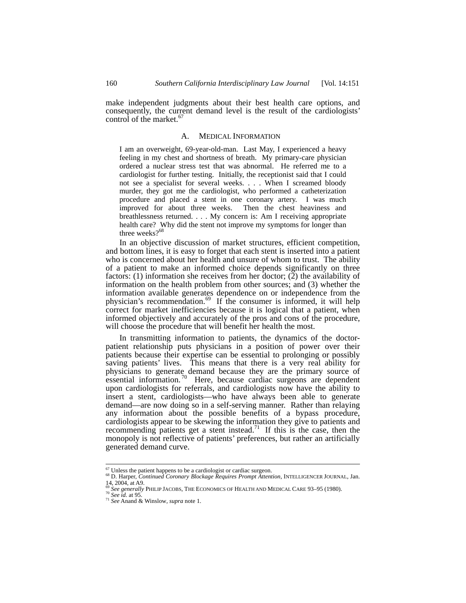make independent judgments about their best health care options, and consequently, the current demand level is the result of the cardiologists' control of the market. $67$ 

#### A. MEDICAL INFORMATION

I am an overweight, 69-year-old-man. Last May, I experienced a heavy feeling in my chest and shortness of breath. My primary-care physician ordered a nuclear stress test that was abnormal. He referred me to a cardiologist for further testing. Initially, the receptionist said that I could not see a specialist for several weeks. . . . When I screamed bloody murder, they got me the cardiologist, who performed a catheterization procedure and placed a stent in one coronary artery. I was much improved for about three weeks. Then the chest heaviness and breathlessness returned. . . . My concern is: Am I receiving appropriate health care? Why did the stent not improve my symptoms for longer than three weeks?<sup>68</sup>

In an objective discussion of market structures, efficient competition, and bottom lines, it is easy to forget that each stent is inserted into a patient who is concerned about her health and unsure of whom to trust. The ability of a patient to make an informed choice depends significantly on three factors: (1) information she receives from her doctor; (2) the availability of information on the health problem from other sources; and (3) whether the information available generates dependence on or independence from the physician's recommendation.<sup>69</sup> If the consumer is informed, it will help correct for market inefficiencies because it is logical that a patient, when informed objectively and accurately of the pros and cons of the procedure, will choose the procedure that will benefit her health the most.

In transmitting information to patients, the dynamics of the doctorpatient relationship puts physicians in a position of power over their patients because their expertise can be essential to prolonging or possibly saving patients' lives. This means that there is a very real ability for physicians to generate demand because they are the primary source of  $\frac{1}{2}$  essential information.<sup>70</sup> Here, because cardiac surgeons are dependent upon cardiologists for referrals, and cardiologists now have the ability to insert a stent, cardiologists—who have always been able to generate demand—are now doing so in a self-serving manner. Rather than relaying any information about the possible benefits of a bypass procedure, cardiologists appear to be skewing the information they give to patients and recommending patients get a stent instead.<sup>71</sup> If this is the case, then the monopoly is not reflective of patients' preferences, but rather an artificially generated demand curve.

<sup>&</sup>lt;sup>67</sup> Unless the patient happens to be a cardiologist or cardiac surgeon.<br><sup>68</sup> D. Harper, *Continued Coronary Blockage Requires Prompt Attention*, INTELLIGENCER JOURNAL, Jan. 14, 2004, at A9.

<sup>69</sup> *See generally* PHILIP JACOBS, THE ECONOMICS OF HEALTH AND MEDICAL CARE 93–95 (1980). 70 *See id.* at 95. 71 *See* Anand & Winslow, *supra* note 1.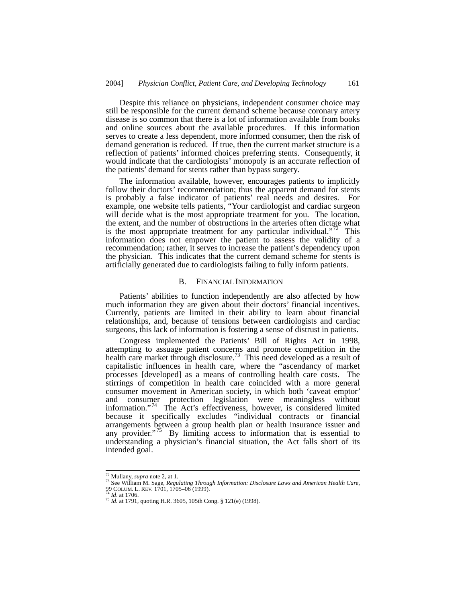Despite this reliance on physicians, independent consumer choice may still be responsible for the current demand scheme because coronary artery disease is so common that there is a lot of information available from books and online sources about the available procedures. If this information serves to create a less dependent, more informed consumer, then the risk of demand generation is reduced. If true, then the current market structure is a reflection of patients' informed choices preferring stents. Consequently, it would indicate that the cardiologists' monopoly is an accurate reflection of the patients' demand for stents rather than bypass surgery.

The information available, however, encourages patients to implicitly follow their doctors' recommendation; thus the apparent demand for stents is probably a false indicator of patients' real needs and desires. For example, one website tells patients, "Your cardiologist and cardiac surgeon will decide what is the most appropriate treatment for you. The location, the extent, and the number of obstructions in the arteries often dictate what is the most appropriate treatment for any particular individual."<sup>72</sup> This information does not empower the patient to assess the validity of a recommendation; rather, it serves to increase the patient's dependency upon the physician. This indicates that the current demand scheme for stents is artificially generated due to cardiologists failing to fully inform patients.

### B. FINANCIAL INFORMATION

Patients' abilities to function independently are also affected by how much information they are given about their doctors' financial incentives. Currently, patients are limited in their ability to learn about financial relationships, and, because of tensions between cardiologists and cardiac surgeons, this lack of information is fostering a sense of distrust in patients.

Congress implemented the Patients' Bill of Rights Act in 1998, attempting to assuage patient concerns and promote competition in the health care market through disclosure.<sup>73</sup> This need developed as a result of capitalistic influences in health care, where the "ascendancy of market processes [developed] as a means of controlling health care costs. The stirrings of competition in health care coincided with a more general consumer movement in American society, in which both 'caveat emptor' and consumer protection legislation were meaningless without information."74 The Act's effectiveness, however, is considered limited because it specifically excludes "individual contracts or financial arrangements between a group health plan or health insurance issuer and any provider."<sup> $/5$ </sup> By limiting access to information that is essential to understanding a physician's financial situation, the Act falls short of its intended goal.

<sup>&</sup>lt;sup>72</sup> Mullany, *supra* note 2, at 1.<br><sup>73</sup> See William M. Sage, *Regulating Through Information: Disclosure Laws and American Health Care*,<br>99 COLUM L. REV. 1701, 1705–06 (1999).

<sup>&</sup>lt;sup>74</sup> *Id.* at 1706.<br><sup>75</sup> *Id.* at 1791, quoting H.R. 3605, 105th Cong. § 121(e) (1998).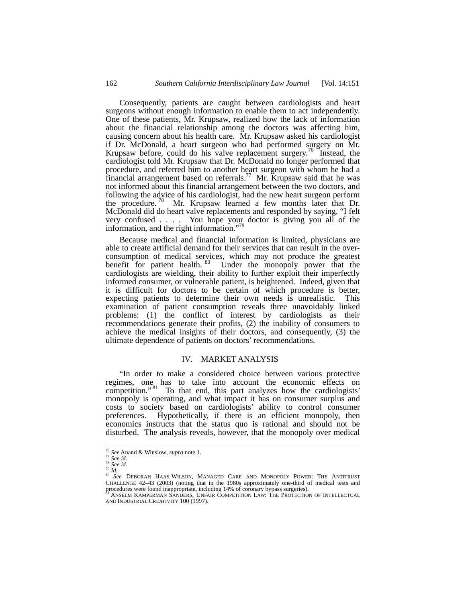Consequently, patients are caught between cardiologists and heart surgeons without enough information to enable them to act independently. One of these patients, Mr. Krupsaw, realized how the lack of information about the financial relationship among the doctors was affecting him, causing concern about his health care. Mr. Krupsaw asked his cardiologist if Dr. McDonald, a heart surgeon who had performed surgery on Mr. Krupsaw before, could do his valve replacement surgery.<sup>76</sup> Instead, the cardiologist told Mr. Krupsaw that Dr. McDonald no longer performed that procedure, and referred him to another heart surgeon with whom he had a financial arrangement based on referrals.<sup>77</sup> Mr. Krupsaw said that he was not informed about this financial arrangement between the two doctors, and following the advice of his cardiologist, had the new heart surgeon perform the procedure. 78 Mr. Krupsaw learned a few months later that Dr. McDonald did do heart valve replacements and responded by saying, "I felt very confused . . . . You hope your doctor is giving you all of the information, and the right information."<sup>79</sup>

Because medical and financial information is limited, physicians are able to create artificial demand for their services that can result in the overconsumption of medical services, which may not produce the greatest benefit for patient health.<sup>80</sup> Under the monopoly power that the cardiologists are wielding, their ability to further exploit their imperfectly informed consumer, or vulnerable patient, is heightened. Indeed, given that it is difficult for doctors to be certain of which procedure is better, expecting patients to determine their own needs is unrealistic. This examination of patient consumption reveals three unavoidably linked problems: (1) the conflict of interest by cardiologists as their recommendations generate their profits, (2) the inability of consumers to achieve the medical insights of their doctors, and consequently, (3) the ultimate dependence of patients on doctors' recommendations.

## IV. MARKET ANALYSIS

"In order to make a considered choice between various protective regimes, one has to take into account the economic effects on competition."<sup>81</sup> To that end, this part analyzes how the cardiologists' monopoly is operating, and what impact it has on consumer surplus and costs to society based on cardiologists' ability to control consumer preferences. Hypothetically, if there is an efficient monopoly, then economics instructs that the status quo is rational and should not be disturbed. The analysis reveals, however, that the monopoly over medical

<sup>&</sup>lt;sup>76</sup> See Anand & Winslow, *supra* note 1.<br><sup>78</sup> See id.<br><sup>78</sup> *See id.*<br><sup>80</sup> *See DEBORAH HAAS-WILSON, MANAGED CARE AND MONOPOLY POWER: THE ANTITRUST* CHALLENGE 42–43 (2003) (noting that in the 1980s approximately one-third of medical tests and procedures were found inappropriate, including 14% of coronary bypass surgeries).<br><sup>81</sup> ANSELM KAMPERMAN SANDERS, UNFAIR COMPETITION LAW: THE PROTECTION OF INTELLECTUAL

AND INDUSTRIAL CREATIVITY 100 (1997).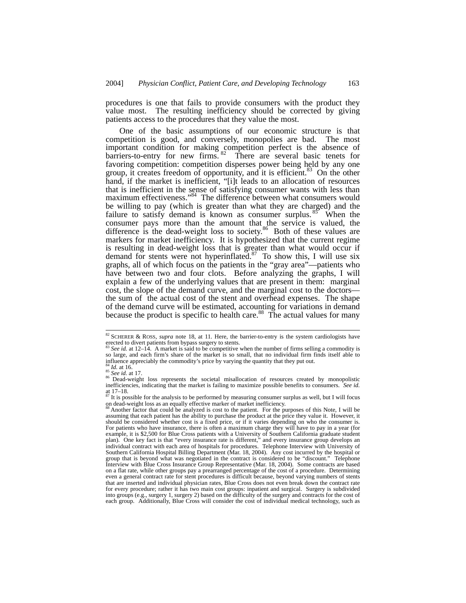procedures is one that fails to provide consumers with the product they value most. The resulting inefficiency should be corrected by giving patients access to the procedures that they value the most.

One of the basic assumptions of our economic structure is that competition is good, and conversely, monopolies are bad. The most important condition for making competition perfect is the absence of barriers-to-entry for new firms.  $82$  There are several basic tenets for favoring competition: competition disperses power being held by any one group, it creates freedom of opportunity, and it is efficient.<sup>83</sup> On the other hand, if the market is inefficient, "[i]t leads to an allocation of resources that is inefficient in the sense of satisfying consumer wants with less than maximum effectiveness."<sup>84</sup> The difference between what consumers would be willing to pay (which is greater than what they are charged) and the failure to satisfy demand is known as consumer surplus.<sup>85</sup> When the consumer pays more than the amount that the service is valued, the difference is the dead-weight loss to society.<sup>86</sup> Both of these values are markers for market inefficiency. It is hypothesized that the current regime is resulting in dead-weight loss that is greater than what would occur if demand for stents were not hyperinflated. $87$  To show this, I will use six graphs, all of which focus on the patients in the "gray area"—patients who have between two and four clots. Before analyzing the graphs, I will explain a few of the underlying values that are present in them: marginal cost, the slope of the demand curve, and the marginal cost to the doctors the sum of the actual cost of the stent and overhead expenses. The shape of the demand curve will be estimated, accounting for variations in demand because the product is specific to health care.<sup>88</sup> The actual values for many

 <sup>82</sup> SCHERER & ROSS, *supra* note 18, at <sup>11</sup>*.* Here, the barrier-to-entry is the system cardiologists have erected to divert patients from bypass surgery to stents.<br><sup>83</sup> *See id.* at 12–14. A market is said to be competitive when the number of firms selling a commodity is

so large, and each firm's share of the market is so small, that no individual firm finds itself able to influence appreciably the commodity's price by varying the quantity that they put out.

<sup>&</sup>lt;sup>84</sup> *Id.* at 16.<br>
<sup>85</sup> *See id.* at 17.<br>
<sup>86</sup> Dead-weight loss represents the societal misallocation of resources created by monopolistic inefficiencies, indicating that the market is failing to maximize possible benefits to consumers. *See id.* at  $17-18$ .

 $87$  It is possible for the analysis to be performed by measuring consumer surplus as well, but I will focus on dead-weight loss as an equally effective marker of market inefficiency.

Another factor that could be analyzed is cost to the patient. For the purposes of this Note, I will be assuming that each patient has the ability to purchase the product at the price they value it. However, it should be considered whether cost is a fixed price, or if it varies depending on who the consumer is. For patients who have insurance, there is often a maximum charge they will have to pay in a year (for example, it is \$2,500 for Blue Cross patients with a University of Southern California graduate student plan). One key fact is that "every insurance rate is different," and every insurance group develops an individual contract with each area of hospitals for procedures. Telephone Interview with University of Southern California Hospital Billing Department (Mar. 18, 2004). Any cost incurred by the hospital or group that is beyond what was negotiated in the contract is considered to be "discount." Telephone group that is beyond what was negotiated in the contract is considered to be "discount." Interview with Blue Cross Insurance Group Representative (Mar. 18, 2004). Some contracts are based on a flat rate, while other groups pay a prearranged percentage of the cost of a procedure. Determining even a general contract rate for stent procedures is difficult because, beyond varying numbers of stents that are inserted and individual physician rates, Blue Cross does not even break down the contract rate for every procedure; rather it has two main cost groups: inpatient and surgical. Surgery is subdivided into groups (e.g., surgery 1, surgery 2) based on the difficulty of the surgery and contracts for the cost of each group. Additionally, Blue Cross will consider the cost of individual medical technology, such as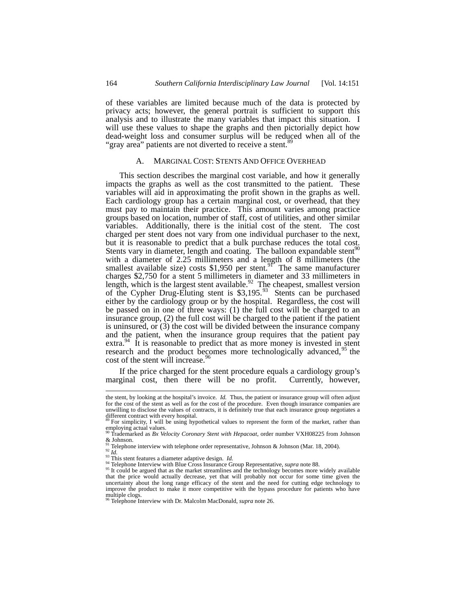of these variables are limited because much of the data is protected by privacy acts; however, the general portrait is sufficient to support this analysis and to illustrate the many variables that impact this situation. I will use these values to shape the graphs and then pictorially depict how dead-weight loss and consumer surplus will be reduced when all of the "gray area" patients are not diverted to receive a stent.<sup>89</sup>

#### A. MARGINAL COST: STENTS AND OFFICE OVERHEAD

This section describes the marginal cost variable, and how it generally impacts the graphs as well as the cost transmitted to the patient. These variables will aid in approximating the profit shown in the graphs as well. Each cardiology group has a certain marginal cost, or overhead, that they must pay to maintain their practice. This amount varies among practice groups based on location, number of staff, cost of utilities, and other similar variables. Additionally, there is the initial cost of the stent. The cost charged per stent does not vary from one individual purchaser to the next, but it is reasonable to predict that a bulk purchase reduces the total cost. Stents vary in diameter, length and coating. The balloon expandable stent $90$ with a diameter of 2.25 millimeters and a length of 8 millimeters (the smallest available size) costs  $$1,950$  per stent.<sup>91</sup> The same manufacturer charges \$2,750 for a stent 5 millimeters in diameter and 33 millimeters in length, which is the largest stent available.<sup>92</sup> The cheapest, smallest version of the Cypher Drug-Eluting stent is  $$3,195.<sup>93</sup>$  Stents can be purchased either by the cardiology group or by the hospital. Regardless, the cost will be passed on in one of three ways: (1) the full cost will be charged to an insurance group, (2) the full cost will be charged to the patient if the patient is uninsured, or (3) the cost will be divided between the insurance company and the patient, when the insurance group requires that the patient pay  $extra.<sup>94</sup>$  It is reasonable to predict that as more money is invested in stent research and the product becomes more technologically advanced,<sup>95</sup> the cost of the stent will increase.<sup>96</sup>

If the price charged for the stent procedure equals a cardiology group's marginal cost, then there will be no profit. Currently, however,

the stent, by looking at the hospital's invoice. *Id.* Thus, the patient or insurance group will often adjust for the cost of the stent as well as for the cost of the procedure. Even though insurance companies are unwilling to disclose the values of contracts, it is definitely true that each insurance group negotiates a different contract with every hospital.<br><sup>89</sup> For simplicity, I will be using hypothetical values to represent the form of the market, rather than

employing actual values.

<sup>90</sup> Trademarked as *Bx Velocity Coronary Stent with Hepacoat*, order number VXH08225 from Johnson  $& Johnson.$ 

<sup>&</sup>lt;sup>91</sup> Telephone interview with telephone order representative, Johnson & Johnson (Mar. 18, 2004).<br><sup>92</sup> *Id.*<br><sup>93</sup> This stent features a diameter adaptive design. *Id.*<br><sup>94</sup> Telephone Interview with Blue Cross Insurance Gro

the price met view will blue Cross insurance Group Representative, supply not occur for some widely available that the price would actually decrease, yet that will probably not occur for some time given the the price woul uncertainty about the long range efficacy of the stent and the need for cutting edge technology to improve the product to make it more competitive with the bypass procedure for patients who have multiple clogs.<br><sup>96</sup> Telephone Interview with Dr. Malcolm MacDonald, *supra* note 26.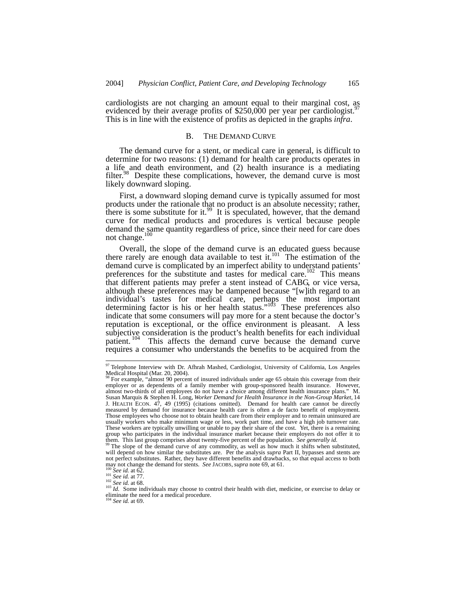cardiologists are not charging an amount equal to their marginal cost, as evidenced by their average profits of \$250,000 per year per cardiologist.<sup>5</sup> This is in line with the existence of profits as depicted in the graphs *infra*.

#### B. THE DEMAND CURVE

The demand curve for a stent, or medical care in general, is difficult to determine for two reasons: (1) demand for health care products operates in a life and death environment, and (2) health insurance is a mediating filter.<sup>98</sup> Despite these complications, however, the demand curve is most likely downward sloping.

First, a downward sloping demand curve is typically assumed for most products under the rationale that no product is an absolute necessity; rather, there is some substitute for it.<sup>99</sup> It is speculated, however, that the demand curve for medical products and procedures is vertical because people demand the same quantity regardless of price, since their need for care does not change. $100$ 

Overall, the slope of the demand curve is an educated guess because there rarely are enough data available to test it.<sup>101</sup> The estimation of the demand curve is complicated by an imperfect ability to understand patients' preferences for the substitute and tastes for medical care.<sup>102</sup> This means that different patients may prefer a stent instead of CABG, or vice versa, although these preferences may be dampened because "[w]ith regard to an individual's tastes for medical care, perhaps the most important determining factor is his or her health status."<sup>103</sup> These preferences also indicate that some consumers will pay more for a stent because the doctor's reputation is exceptional, or the office environment is pleasant. A less subjective consideration is the product's health benefits for each individual patient. 104 This affects the demand curve because the demand curve requires a consumer who understands the benefits to be acquired from the

<sup>104</sup> *See id.* at 69.

<sup>97</sup> Telephone Interview with Dr. Afhrah Mashed, Cardiologist, University of California, Los Angeles Medical Hospital (Mar. 20, 2004).

<sup>98</sup> For example, "almost 90 percent of insured individuals under age 65 obtain this coverage from their employer or as dependents of a family member with group-sponsored health insurance. However, almost two-thirds of all employees do not have a choice among different health insurance plans." M. Susan Marquis & Stephen H. Long, *Worker Demand for Health Insurance in the Non-Group Market*, 14 J. HEALTH ECON. 47, 49 (1995) (citations omitted). Demand for health care cannot be directly measured by demand for insurance because health care is often a de facto benefit of employment. Those employees who choose not to obtain health care from their employer and to remain uninsured are usually workers who make minimum wage or less, work part time, and have a high job turnover rate. These workers are typically unwilling or unable to pay their share of the cost. Yet, there is a remaining group who participates in the individual insurance market because their employers do not offer it to them. This last group comprises about twenty-five percent of the population. *See generally id.* <sup>99</sup> The slope of the demand curve of any commodity, as well as how much it shifts when substituted,

will depend on how similar the substitutes are. Per the analysis *supra* Part II, bypasses and stents are not perfect substitutes. Rather, they have different benefits and drawbacks, so that equal access to both  $\frac{\text{mag}}{\text{100}}$  not change the demand for stents. *See* JACOBS, *supra* note 69, at 61.

<sup>&</sup>lt;sup>100</sup> See id. at 62.<br><sup>101</sup> See id. at 77.<br><sup>102</sup> See id. at 68.<br><sup>102</sup> See id. at 68.<br><sup>103</sup> Id. Some individuals may choose to control their health with diet, medicine, or exercise to delay or eliminate the need for a medical procedure.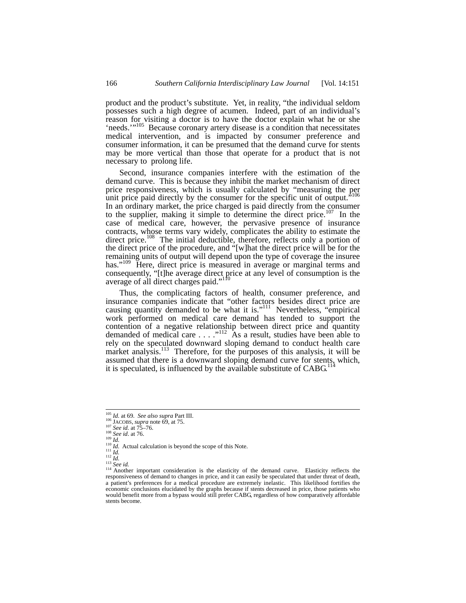product and the product's substitute. Yet, in reality, "the individual seldom possesses such a high degree of acumen. Indeed, part of an individual's reason for visiting a doctor is to have the doctor explain what he or she 'needs.'"<sup>105</sup> Because coronary artery disease is a condition that necessitates medical intervention, and is impacted by consumer preference and consumer information, it can be presumed that the demand curve for stents may be more vertical than those that operate for a product that is not necessary to prolong life.

Second, insurance companies interfere with the estimation of the demand curve. This is because they inhibit the market mechanism of direct price responsiveness, which is usually calculated by "measuring the per unit price paid directly by the consumer for the specific unit of output." In an ordinary market, the price charged is paid directly from the consumer to the supplier, making it simple to determine the direct price.<sup>107</sup> In the case of medical care, however, the pervasive presence of insurance contracts, whose terms vary widely, complicates the ability to estimate the direct price.<sup>108</sup> The initial deductible, therefore, reflects only a portion of the direct price of the procedure, and "[w]hat the direct price will be for the remaining units of output will depend upon the type of coverage the insuree has."<sup>109</sup> Here, direct price is measured in average or marginal terms and consequently, "[t]he average direct price at any level of consumption is the average of all direct charges paid."<sup>110</sup>

Thus, the complicating factors of health, consumer preference, and insurance companies indicate that "other factors besides direct price are causing quantity demanded to be what it is."<sup>111</sup> Nevertheless, "empirical work performed on medical care demand has tended to support the contention of a negative relationship between direct price and quantity demanded of medical care  $\dots$ ."<sup>112</sup> As a result, studies have been able to rely on the speculated downward sloping demand to conduct health care market analysis.<sup>113</sup> Therefore, for the purposes of this analysis, it will be assumed that there is a downward sloping demand curve for stents, which, it is speculated, is influenced by the available substitute of  $CABG<sup>11</sup>$ 

<sup>&</sup>lt;sup>105</sup> *Id.* at 69. *See also supra* Part III.<br>
<sup>106</sup> JACOBS, *supra* note 69, at 75.<br>
<sup>107</sup> *See id.* at 75–76.<br>
<sup>107</sup> *Ig.*<br>
<sup>109</sup> *Id.*<br>
<sup>110</sup> *Id.*<br>
<sup>111</sup> *Id.*<br>
<sup>111</sup> *Id.*<br>
<sup>112</sup> *Id.*<br>
<sup>114</sup> Actual calculation is bey a patient's preferences for a medical procedure are extremely inelastic. This likelihood fortifies the economic conclusions elucidated by the graphs because if stents decreased in price, those patients who would benefit more from a bypass would still prefer CABG, regardless of how comparatively affordable stents become.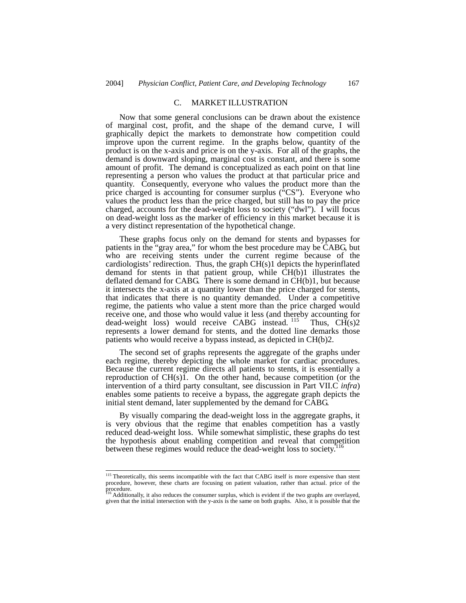# C. MARKET ILLUSTRATION

Now that some general conclusions can be drawn about the existence of marginal cost, profit, and the shape of the demand curve, I will graphically depict the markets to demonstrate how competition could improve upon the current regime. In the graphs below, quantity of the product is on the x-axis and price is on the y-axis. For all of the graphs, the demand is downward sloping, marginal cost is constant, and there is some amount of profit. The demand is conceptualized as each point on that line representing a person who values the product at that particular price and quantity. Consequently, everyone who values the product more than the price charged is accounting for consumer surplus ("CS"). Everyone who values the product less than the price charged, but still has to pay the price charged, accounts for the dead-weight loss to society ("dwl"). I will focus on dead-weight loss as the marker of efficiency in this market because it is a very distinct representation of the hypothetical change.

These graphs focus only on the demand for stents and bypasses for patients in the "gray area," for whom the best procedure may be CABG, but who are receiving stents under the current regime because of the cardiologists' redirection. Thus, the graph CH(s)1 depicts the hyperinflated demand for stents in that patient group, while CH(b)1 illustrates the deflated demand for CABG. There is some demand in  $CH(b)1$ , but because it intersects the x-axis at a quantity lower than the price charged for stents, that indicates that there is no quantity demanded. Under a competitive regime, the patients who value a stent more than the price charged would receive one, and those who would value it less (and thereby accounting for dead-weight loss) would receive CABG instead. <sup>115</sup> Thus, CH(s)2 represents a lower demand for stents, and the dotted line demarks those patients who would receive a bypass instead, as depicted in CH(b)2.

The second set of graphs represents the aggregate of the graphs under each regime, thereby depicting the whole market for cardiac procedures. Because the current regime directs all patients to stents, it is essentially a reproduction of CH(s)1. On the other hand, because competition (or the intervention of a third party consultant, see discussion in Part VII.C *infra*) enables some patients to receive a bypass, the aggregate graph depicts the initial stent demand, later supplemented by the demand for CABG.

By visually comparing the dead-weight loss in the aggregate graphs, it is very obvious that the regime that enables competition has a vastly reduced dead-weight loss. While somewhat simplistic, these graphs do test the hypothesis about enabling competition and reveal that competition between these regimes would reduce the dead-weight loss to society.<sup>1</sup>

<sup>&</sup>lt;sup>115</sup> Theoretically, this seems incompatible with the fact that CABG itself is more expensive than stent procedure, however, these charts are focusing on patient valuation, rather than actual. price of the procedure.

Additionally, it also reduces the consumer surplus, which is evident if the two graphs are overlayed, given that the initial intersection with the y-axis is the same on both graphs. Also, it is possible that the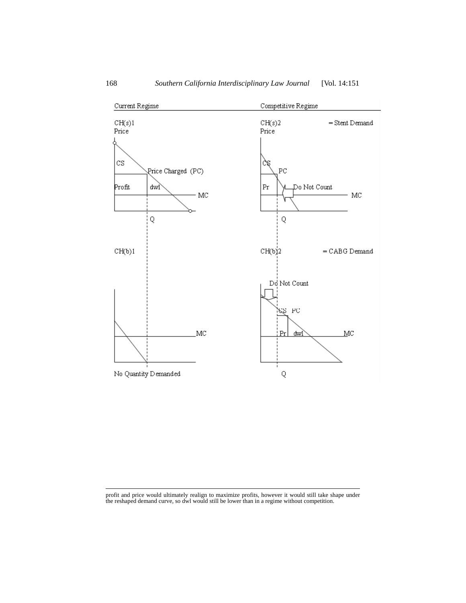

СН(b)2

Do Not Count

 $Pr$ <u>dwl</u>

 $\mathbf Q$ 

 $_{\rm PC}$ £Z

 $=$  CABG Demand

 $MC$ 

 profit and price would ultimately realign to maximize profits, however it would still take shape under the reshaped demand curve, so dwl would still be lower than in a regime without competition.

MC

 $CH(b)1$ 

No Quantity Demanded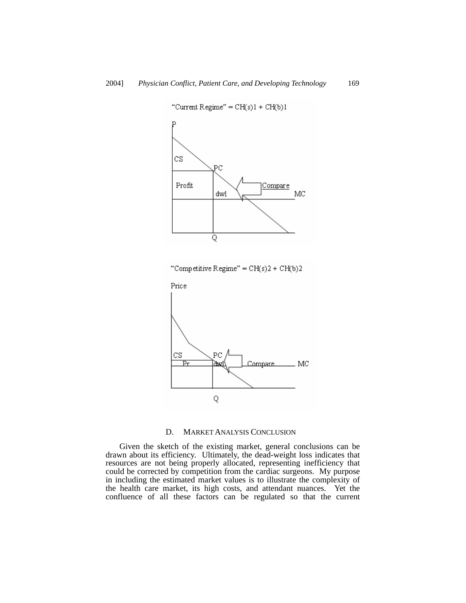

"Current Regime" =  $CH(s)1 + CH(b)1$ 



# D. MARKET ANALYSIS CONCLUSION

Given the sketch of the existing market, general conclusions can be drawn about its efficiency. Ultimately, the dead-weight loss indicates that resources are not being properly allocated, representing inefficiency that could be corrected by competition from the cardiac surgeons. My purpose in including the estimated market values is to illustrate the complexity of the health care market, its high costs, and attendant nuances. Yet the confluence of all these factors can be regulated so that the current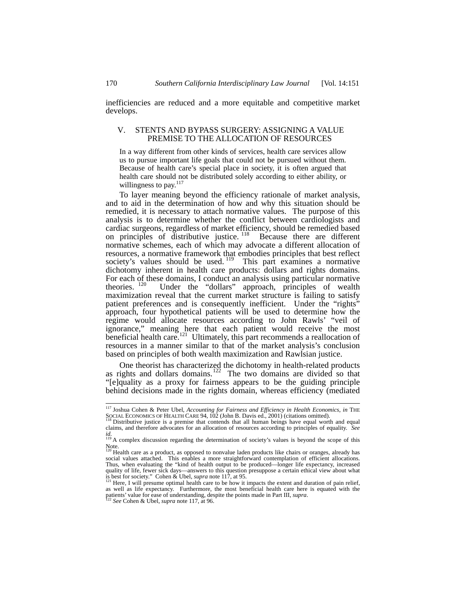inefficiencies are reduced and a more equitable and competitive market develops.

# V. STENTS AND BYPASS SURGERY: ASSIGNING A VALUE PREMISE TO THE ALLOCATION OF RESOURCES

In a way different from other kinds of services, health care services allow us to pursue important life goals that could not be pursued without them. Because of health care's special place in society, it is often argued that health care should not be distributed solely according to either ability, or willingness to pay.<sup>117</sup>

To layer meaning beyond the efficiency rationale of market analysis, and to aid in the determination of how and why this situation should be remedied, it is necessary to attach normative values. The purpose of this analysis is to determine whether the conflict between cardiologists and cardiac surgeons, regardless of market efficiency, should be remedied based on principles of distributive justice.<sup>118</sup> Because there are different normative schemes, each of which may advocate a different allocation of resources, a normative framework that embodies principles that best reflect society's values should be used.<sup>119</sup> This part examines a normative dichotomy inherent in health care products: dollars and rights domains. For each of these domains, I conduct an analysis using particular normative theories. <sup>120</sup> Under the "dollars" approach, principles of wealth Under the "dollars" approach, principles of wealth maximization reveal that the current market structure is failing to satisfy patient preferences and is consequently inefficient. Under the "rights" approach, four hypothetical patients will be used to determine how the regime would allocate resources according to John Rawls' "veil of ignorance," meaning here that each patient would receive the most beneficial health care.<sup>121</sup> Ultimately, this part recommends a reallocation of resources in a manner similar to that of the market analysis's conclusion based on principles of both wealth maximization and Rawlsian justice.

One theorist has characterized the dichotomy in health-related products as rights and dollars domains.<sup>122</sup> The two domains are divided so that "[e]quality as a proxy for fairness appears to be the guiding principle behind decisions made in the rights domain, whereas efficiency (mediated

 <sup>117</sup> Joshua Cohen & Peter Ubel, *Accounting for Fairness and Efficiency in Health Economics*, *in* THE SOCIAL ECONOMICS OF HEALTH CARE 94, 102 (John B. Davis ed., 2001) (citations omitted). 118 Distributive justice is a premise that contends that all human beings have equal worth and equal worth and equal

claims, and therefore advocates for an allocation of resources according to principles of equality. *See id.* 119 A complex discussion regarding the determination of society's values is beyond the scope of this

Note.<br><sup>120</sup> Health care as a product, as opposed to nonvalue laden products like chairs or oranges, already has<br>social values attached. This enables a more straightforward contemplation of efficient allocations. Thus, when evaluating the "kind of health output to be produced—longer life expectancy, increased quality of life, fewer sick days—answers to this question presuppose a certain ethical view about what<br>is best for society." Cohen & Ubel, *supra* note 117, at 95.<br><sup>121</sup> Here, I will presume optimal health care to be how i

as well as life expectancy. Furthermore, the most beneficial health care here is equated with the patients' value for ease of understanding, despite the points made in Part III, *supra*.<br><sup>122</sup> *See* Cohen & Ubel, *supra* n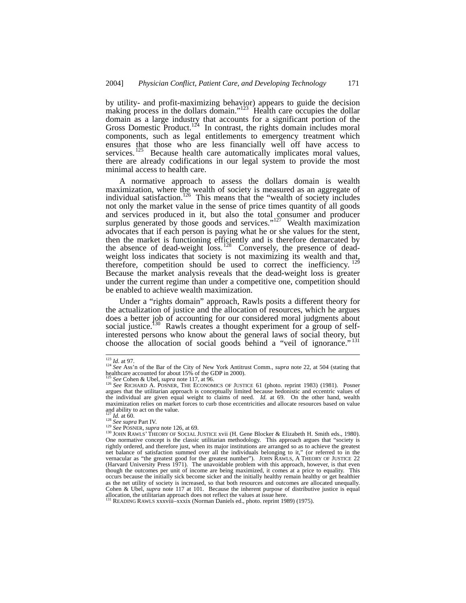by utility- and profit-maximizing behavior) appears to guide the decision making process in the dollars domain." $123$  Health care occupies the dollar domain as a large industry that accounts for a significant portion of the Gross Domestic Product.<sup>124</sup> In contrast, the rights domain includes moral components, such as legal entitlements to emergency treatment which ensures that those who are less financially well off have access to services.<sup>125</sup> Because health care automatically implicates moral values, there are already codifications in our legal system to provide the most minimal access to health care.

A normative approach to assess the dollars domain is wealth maximization, where the wealth of society is measured as an aggregate of individual satisfaction.<sup>126</sup> This means that the "wealth of society includes not only the market value in the sense of price times quantity of all goods and services produced in it, but also the total consumer and producer surplus generated by those goods and services."<sup>127</sup> Wealth maximization advocates that if each person is paying what he or she values for the stent, then the market is functioning efficiently and is therefore demarcated by the absence of dead-weight  $\overline{loss}$ . 128 Conversely, the presence of deadweight loss indicates that society is not maximizing its wealth and that, therefore, competition should be used to correct the inefficiency. Because the market analysis reveals that the dead-weight loss is greater under the current regime than under a competitive one, competition should be enabled to achieve wealth maximization.

Under a "rights domain" approach, Rawls posits a different theory for the actualization of justice and the allocation of resources, which he argues does a better job of accounting for our considered moral judgments about social justice.<sup>130</sup> Rawls creates a thought experiment for a group of selfinterested persons who know about the general laws of social theory, but choose the allocation of social goods behind a "veil of ignorance."<sup>131</sup>

<sup>&</sup>lt;sup>123</sup> *Id.* at 97.<br><sup>124</sup> *See* Ass'n of the Bar of the City of New York Antitrust Comm., *supra* note 22, at 504 (stating that healthcare accounted for about 15% of the GDP in 2000).<br> $^{125}$  See Cohen & Ubel, *supra* note 117, at 96.

<sup>125</sup> *See* Cohen & Ubel, *supra* note 117, at 96. 126 *See* RICHARD A. POSNER, THE ECONOMICS OF JUSTICE 61 (photo. reprint 1983) (1981). Posner argues that the utilitarian approach is conceptually limited because hedonistic and eccentric values of the individual are given equal weight to claims of need. *Id.* at 69. On the other hand, wealth maximization relies on market forces to curb those eccentricities and allocate resources based on value and ability to act on the value.<br> $\frac{127}{127}$  *Id.* at 60.<br> $\frac{128}{3}$  *See supra* Part IV.

<sup>129</sup> *See POSNER, supra* note 126, at 69.<br><sup>129</sup> *See POSNER, supra* note 126, at 69. **ISBN 8-800** IOSTICE xvii (H. Gene Blocker & Elizabeth H. Smith eds., 1980). One normative concept is the classic utilitarian methodology. This approach argues that "society is rightly ordered, and therefore just, when its major institutions are arranged so as to achieve the greatest net balance of satisfaction summed over all the individuals belonging to it," (or referred to in the vernacular as "the greatest good for the greatest number"). JOHN RAWLS, A THEORY OF JUSTICE 22 (Harvard University Press 1971). The unavoidable problem with this approach, however, is that even though the outcomes per unit of income are being maximized, it comes at a price to equality. This occurs because the initially sick become sicker and the initially healthy remain healthy or get healthier as the net utility of society is increased, so that both resources and outcomes are allocated unequally. Cohen & Ubel, *supra* note 117 at 101. Because the inherent purpose of distributive justice is equal allocation, the utilitarian approach does not reflect the values at issue here. 131 READING RAWLS xxxviii–xxxix (Norman Daniels ed., photo. reprint 1989) (1975).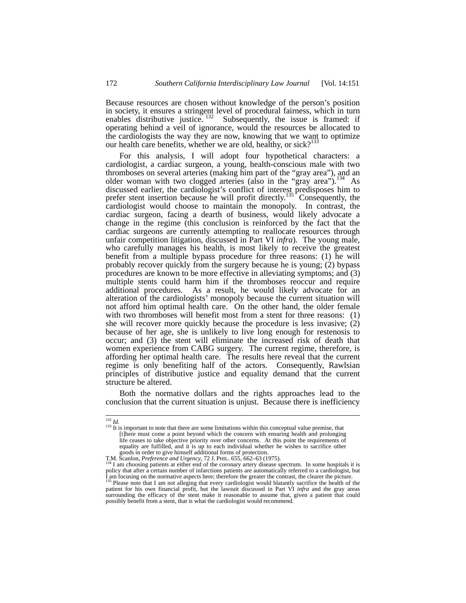Because resources are chosen without knowledge of the person's position in society, it ensures a stringent level of procedural fairness, which in turn enables distributive justice.  $132$  Subsequently, the issue is framed: if operating behind a veil of ignorance, would the resources be allocated to the cardiologists the way they are now, knowing that we want to optimize our health care benefits, whether we are old, healthy, or sick? $133$ 

For this analysis, I will adopt four hypothetical characters: a cardiologist, a cardiac surgeon, a young, health-conscious male with two thromboses on several arteries (making him part of the "gray area"), and an older woman with two clogged arteries (also in the "gray area").<sup>134</sup> As discussed earlier, the cardiologist's conflict of interest predisposes him to prefer stent insertion because he will profit directly.<sup>135</sup> Consequently, the cardiologist would choose to maintain the monopoly. In contrast, the cardiac surgeon, facing a dearth of business, would likely advocate a change in the regime (this conclusion is reinforced by the fact that the cardiac surgeons are currently attempting to reallocate resources through unfair competition litigation, discussed in Part VI *infra*). The young male, who carefully manages his health, is most likely to receive the greatest benefit from a multiple bypass procedure for three reasons: (1) he will probably recover quickly from the surgery because he is young; (2) bypass procedures are known to be more effective in alleviating symptoms; and (3) multiple stents could harm him if the thromboses reoccur and require additional procedures. As a result, he would likely advocate for an alteration of the cardiologists' monopoly because the current situation will not afford him optimal health care. On the other hand, the older female with two thromboses will benefit most from a stent for three reasons: (1) she will recover more quickly because the procedure is less invasive; (2) because of her age, she is unlikely to live long enough for restenosis to occur; and (3) the stent will eliminate the increased risk of death that women experience from CABG surgery. The current regime, therefore, is affording her optimal health care. The results here reveal that the current regime is only benefiting half of the actors. Consequently, Rawlsian principles of distributive justice and equality demand that the current structure be altered.

Both the normative dollars and the rights approaches lead to the conclusion that the current situation is unjust. Because there is inefficiency

<sup>&</sup>lt;sup>132</sup> *Id.* <sup>132</sup> *Id.* 133 **If is important to note that there are some limitations within this conceptual value premise, that** [t]here must come a point beyond which the concern with ensuring health and prolonging life ceases to take objective priority over other concerns. At this point the requirements of equality are fulfilled, and it is up to each individual whether he wishes to sacrifice other goods in order to give himself additional forms of protection.<br>T.M. Scanlon, *Preference and Urgency*, 72 J. PHIL. 655, 662–63 (1975).<br><sup>134</sup> I am choosing patients at sither year.<sup>7</sup> C.

<sup>&</sup>lt;sup>4</sup> I am choosing patients at either end of the coronary artery disease spectrum. In some hospitals it is policy that after a certain number of infarctions patients are automatically referred to a cardiologist, but<br>I am focusing on the normative aspects here; therefore the greater the contrast, the clearer the picture.<br><sup>135</sup> P

patient for his own financial profit, but the lawsuit discussed in Part VI *infra* and the gray areas patient for his own financial profit, but the lawsuit discussed in Part VI *infra* and the gray areas surrounding the efficacy of the stent make it reasonable to assume that, given a patient that could possibly benefit from a stent, that is what the cardiologist would recommend.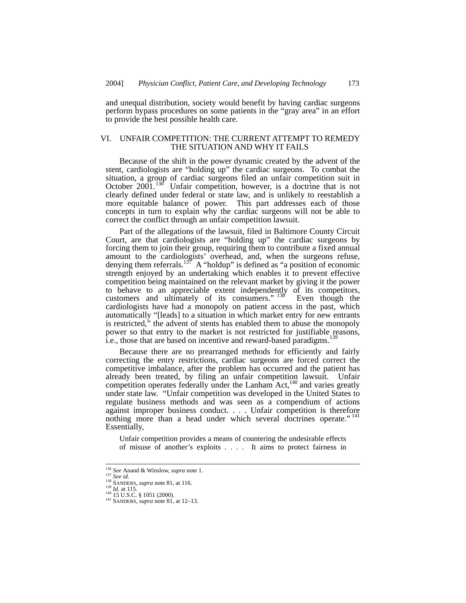and unequal distribution, society would benefit by having cardiac surgeons perform bypass procedures on some patients in the "gray area" in an effort to provide the best possible health care.

# VI. UNFAIR COMPETITION: THE CURRENT ATTEMPT TO REMEDY THE SITUATION AND WHY IT FAILS

Because of the shift in the power dynamic created by the advent of the stent, cardiologists are "holding up" the cardiac surgeons. To combat the situation, a group of cardiac surgeons filed an unfair competition suit in October  $2001$ .<sup>136</sup> Unfair competition, however, is a doctrine that is not clearly defined under federal or state law, and is unlikely to reestablish a more equitable balance of power. This part addresses each of those concepts in turn to explain why the cardiac surgeons will not be able to correct the conflict through an unfair competition lawsuit.

Part of the allegations of the lawsuit, filed in Baltimore County Circuit Court, are that cardiologists are "holding up" the cardiac surgeons by forcing them to join their group, requiring them to contribute a fixed annual amount to the cardiologists' overhead, and, when the surgeons refuse, denying them referrals.<sup>137</sup> A "holdup" is defined as "a position of economic strength enjoyed by an undertaking which enables it to prevent effective competition being maintained on the relevant market by giving it the power to behave to an appreciable extent independently of its competitors, customers and ultimately of its consumers."<sup>138</sup> Even though the cardiologists have had a monopoly on patient access in the past, which automatically "[leads] to a situation in which market entry for new entrants is restricted," the advent of stents has enabled them to abuse the monopoly power so that entry to the market is not restricted for justifiable reasons, i.e., those that are based on incentive and reward-based paradigms.<sup>139</sup>

Because there are no prearranged methods for efficiently and fairly correcting the entry restrictions, cardiac surgeons are forced correct the competitive imbalance, after the problem has occurred and the patient has already been treated, by filing an unfair competition lawsuit. Unfair competition operates federally under the Lanham  $Act<sub>140</sub>$  and varies greatly under state law. "Unfair competition was developed in the United States to regulate business methods and was seen as a compendium of actions against improper business conduct. . . . Unfair competition is therefore nothing more than a head under which several doctrines operate." 141 Essentially,

Unfair competition provides a means of countering the undesirable effects of misuse of another's exploits . . . . It aims to protect fairness in

<sup>&</sup>lt;sup>136</sup> *See Anand & Winslow, <i>supra* note 1.<br><sup>137</sup> *See id.* 115.<br><sup>139</sup> *Id.* at 115.<br><sup>140</sup> 15 U.S.C. § 1051 (2000). <sup>141</sup> SANDERS, *supra* note 81, at 12–13.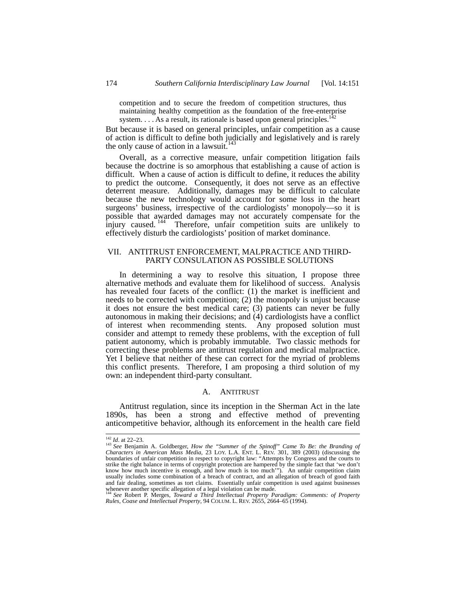competition and to secure the freedom of competition structures, thus maintaining healthy competition as the foundation of the free-enterprise system.  $\ldots$  As a result, its rationale is based upon general principles.<sup>142</sup>

But because it is based on general principles, unfair competition as a cause of action is difficult to define both judicially and legislatively and is rarely the only cause of action in a lawsuit.<sup>1</sup>

Overall, as a corrective measure, unfair competition litigation fails because the doctrine is so amorphous that establishing a cause of action is difficult. When a cause of action is difficult to define, it reduces the ability to predict the outcome. Consequently, it does not serve as an effective deterrent measure. Additionally, damages may be difficult to calculate because the new technology would account for some loss in the heart surgeons' business, irrespective of the cardiologists' monopoly—so it is possible that awarded damages may not accurately compensate for the injury caused.<sup>144</sup> Therefore, unfair competition suits are unlikely to effectively disturb the cardiologists' position of market dominance.

# VII. ANTITRUST ENFORCEMENT, MALPRACTICE AND THIRD-PARTY CONSULATION AS POSSIBLE SOLUTIONS

In determining a way to resolve this situation, I propose three alternative methods and evaluate them for likelihood of success. Analysis has revealed four facets of the conflict: (1) the market is inefficient and needs to be corrected with competition; (2) the monopoly is unjust because it does not ensure the best medical care; (3) patients can never be fully autonomous in making their decisions; and (4) cardiologists have a conflict of interest when recommending stents. Any proposed solution must consider and attempt to remedy these problems, with the exception of full patient autonomy, which is probably immutable. Two classic methods for correcting these problems are antitrust regulation and medical malpractice. Yet I believe that neither of these can correct for the myriad of problems this conflict presents. Therefore, I am proposing a third solution of my own: an independent third-party consultant.

# A. ANTITRUST

Antitrust regulation, since its inception in the Sherman Act in the late 1890s, has been a strong and effective method of preventing anticompetitive behavior, although its enforcement in the health care field

<sup>&</sup>lt;sup>142</sup> *Id.* at 22–23.<br><sup>143</sup> *See* Benjamin A. Goldberger, *How the "Summer of the Spinoff" Came To Be: the Branding of Characters in American Mass Media, 23 LOY. L.A. ENT. L. REV. 301, 389 (2003) (discussing the boundarie* strike the right balance in terms of copyright protection are hampered by the simple fact that 'we don't know how much incentive is enough, and how much is too much'"). An unfair competition claim usually includes some combination of a breach of contract, and an allegation of breach of good faith and fair dealing, sometimes as tort claims. Essentially unfair competition is used against businesses whenever another specific allegation of a legal violation can be made.<br><sup>144</sup> *See* Robert P. Merges, *Toward a Third Intellectual Property Paradigm: Comments: of Property* 

*Rules, Coase and Intellectual Property*, 94 COLUM. L. REV. 2655, 2664–65 (1994).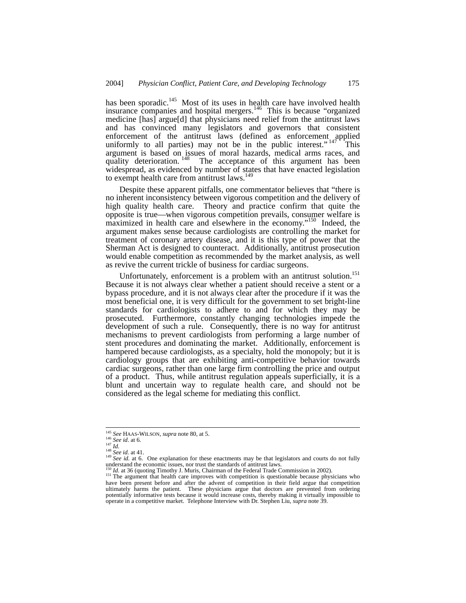has been sporadic.<sup>145</sup> Most of its uses in health care have involved health insurance companies and hospital mergers.<sup>146</sup> This is because "organized medicine [has] argue[d] that physicians need relief from the antitrust laws and has convinced many legislators and governors that consistent enforcement of the antitrust laws (defined as enforcement applied uniformly to all parties) may not be in the public interest." $147 \text{ F}$  This argument is based on issues of moral hazards, medical arms races, and quality deterioration. <sup>148</sup> The acceptance of this argument has been widespread, as evidenced by number of states that have enacted legislation to exempt health care from antitrust laws.<sup>14</sup>

Despite these apparent pitfalls, one commentator believes that "there is no inherent inconsistency between vigorous competition and the delivery of high quality health care. Theory and practice confirm that quite the opposite is true—when vigorous competition prevails, consumer welfare is maximized in health care and elsewhere in the economy."<sup>150</sup> Indeed, the argument makes sense because cardiologists are controlling the market for treatment of coronary artery disease, and it is this type of power that the Sherman Act is designed to counteract. Additionally, antitrust prosecution would enable competition as recommended by the market analysis, as well as revive the current trickle of business for cardiac surgeons.

Unfortunately, enforcement is a problem with an antitrust solution.<sup>151</sup> Because it is not always clear whether a patient should receive a stent or a bypass procedure, and it is not always clear after the procedure if it was the most beneficial one, it is very difficult for the government to set bright-line standards for cardiologists to adhere to and for which they may be prosecuted. Furthermore, constantly changing technologies impede the development of such a rule. Consequently, there is no way for antitrust mechanisms to prevent cardiologists from performing a large number of stent procedures and dominating the market. Additionally, enforcement is hampered because cardiologists, as a specialty, hold the monopoly; but it is cardiology groups that are exhibiting anti-competitive behavior towards cardiac surgeons, rather than one large firm controlling the price and output of a product. Thus, while antitrust regulation appeals superficially, it is a blunt and uncertain way to regulate health care, and should not be considered as the legal scheme for mediating this conflict.

<sup>&</sup>lt;sup>145</sup> See HAAS-WILSON, *supra* note 80, at 5.<br><sup>146</sup> See id. at 6.<br><sup>147</sup> Id.<br><sup>148</sup> See id. at 41.<br><sup>149</sup> See id. at 6. One explanation for these enactments may be that legislators and courts do not fully<br><sup>149</sup> See id. at 6.

 $^{150}$  *Id.* at 36 (quoting Timothy J. Muris, Chairman of the Federal Trade Commission in 2002).<br><sup>151</sup> The argument that health care improves with competition is questionable because physicians who have been present before and after the advent of competition in their field argue that competition ultimately harms the patient. These physicians argue that doctors are prevented from ordering potentially informative tests because it would increase costs, thereby making it virtually impossible to operate in a competitive market. Telephone Interview with Dr. Stephen Liu, *supra* note 39.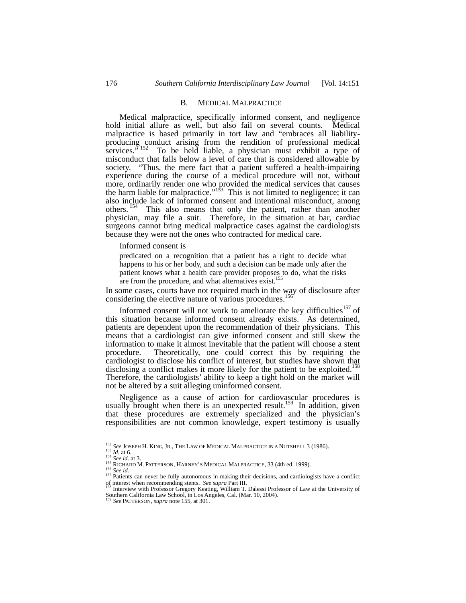#### B. MEDICAL MALPRACTICE

Medical malpractice, specifically informed consent, and negligence hold initial allure as well, but also fail on several counts. Medical malpractice is based primarily in tort law and "embraces all liabilityproducing conduct arising from the rendition of professional medical services. $5152$  To be held liable, a physician must exhibit a type of misconduct that falls below a level of care that is considered allowable by society. "Thus, the mere fact that a patient suffered a health-impairing experience during the course of a medical procedure will not, without more, ordinarily render one who provided the medical services that causes the harm liable for malpractice."<sup>153</sup> This is not limited to negligence; it can also include lack of informed consent and intentional misconduct, among others. <sup>154</sup> This also means that only the patient, rather than another physician, may file a suit. Therefore, in the situation at bar, cardiac surgeons cannot bring medical malpractice cases against the cardiologists because they were not the ones who contracted for medical care.

Informed consent is

predicated on a recognition that a patient has a right to decide what happens to his or her body, and such a decision can be made only after the patient knows what a health care provider proposes to do, what the risks are from the procedure, and what alternatives exist.<sup>155</sup>

In some cases, courts have not required much in the way of disclosure after considering the elective nature of various procedures.<sup>1</sup>

Informed consent will not work to ameliorate the key difficulties<sup>157</sup> of this situation because informed consent already exists. As determined, patients are dependent upon the recommendation of their physicians. This means that a cardiologist can give informed consent and still skew the information to make it almost inevitable that the patient will choose a stent procedure. Theoretically, one could correct this by requiring the cardiologist to disclose his conflict of interest, but studies have shown that disclosing a conflict makes it more likely for the patient to be exploited.<sup>158</sup> Therefore, the cardiologists' ability to keep a tight hold on the market will not be altered by a suit alleging uninformed consent.

Negligence as a cause of action for cardiovascular procedures is usually brought when there is an unexpected result.<sup>159</sup> In addition, given that these procedures are extremely specialized and the physician's responsibilities are not common knowledge, expert testimony is usually

<sup>&</sup>lt;sup>152</sup> See JOSEPH H. KING, JR., THE LAW OF MEDICAL MALPRACTICE IN A NUTSHELL 3 (1986).<br>
<sup>153</sup> *Id.* at 6.<br>
<sup>154</sup> *See id.* at 3.<br>
<sup>155</sup> RICHARD M. PATTERSON, HARNEY'S MEDICAL MALPRACTICE, 33 (4th ed. 1999).<br>
<sup>156</sup> *See id.* of interest when recommending stents. *See supra* Part III.<br><sup>158</sup> Interview with Professor Gregory Keating, William T. Dalessi Professor of Law at the University of

Southern California Law School, in Los Angeles, Cal. (Mar. 10, 2004). 159 *See* PATTERSON, *supra* note 155, at 301.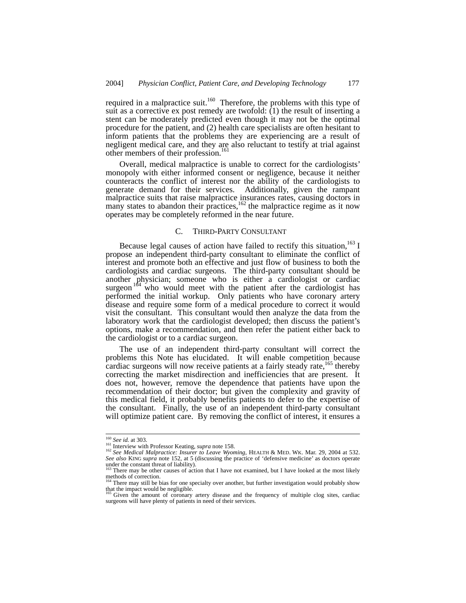required in a malpractice suit.<sup>160</sup> Therefore, the problems with this type of suit as a corrective ex post remedy are twofold:  $(1)$  the result of inserting a stent can be moderately predicted even though it may not be the optimal procedure for the patient, and (2) health care specialists are often hesitant to inform patients that the problems they are experiencing are a result of negligent medical care, and they are also reluctant to testify at trial against other members of their profession.<sup>161</sup>

Overall, medical malpractice is unable to correct for the cardiologists' monopoly with either informed consent or negligence, because it neither counteracts the conflict of interest nor the ability of the cardiologists to generate demand for their services. Additionally, given the rampant malpractice suits that raise malpractice insurances rates, causing doctors in many states to abandon their practices,  $162$  the malpractice regime as it now operates may be completely reformed in the near future.

# C. THIRD-PARTY CONSULTANT

Because legal causes of action have failed to rectify this situation,  $163$  I propose an independent third-party consultant to eliminate the conflict of interest and promote both an effective and just flow of business to both the cardiologists and cardiac surgeons. The third-party consultant should be another physician; someone who is either a cardiologist or cardiac surgeon  $164$  who would meet with the patient after the cardiologist has performed the initial workup. Only patients who have coronary artery disease and require some form of a medical procedure to correct it would visit the consultant. This consultant would then analyze the data from the laboratory work that the cardiologist developed; then discuss the patient's options, make a recommendation, and then refer the patient either back to the cardiologist or to a cardiac surgeon.

The use of an independent third-party consultant will correct the problems this Note has elucidated. It will enable competition because cardiac surgeons will now receive patients at a fairly steady rate,<sup>165</sup> thereby correcting the market misdirection and inefficiencies that are present. It does not, however, remove the dependence that patients have upon the recommendation of their doctor; but given the complexity and gravity of this medical field, it probably benefits patients to defer to the expertise of the consultant. Finally, the use of an independent third-party consultant will optimize patient care. By removing the conflict of interest, it ensures a

<sup>&</sup>lt;sup>160</sup> *See id.* at 303.<br><sup>161</sup> Interview with Professor Keating, *supra* note 158.<br><sup>162</sup> *See Medical Malpractice: Insurer to Leave Wyoming*, HEALTH & MED. WK. Mar. 29, 2004 at 532. *See also* KING *supra* note 152, at 5 (discussing the practice of 'defensive medicine' as doctors operate under the constant threat of liability).

There may be other causes of action that I have not examined, but I have looked at the most likely methods of correction.

There may still be bias for one specialty over another, but further investigation would probably show that the impact would be negligible.

Given the amount of coronary artery disease and the frequency of multiple clog sites, cardiac surgeons will have plenty of patients in need of their services.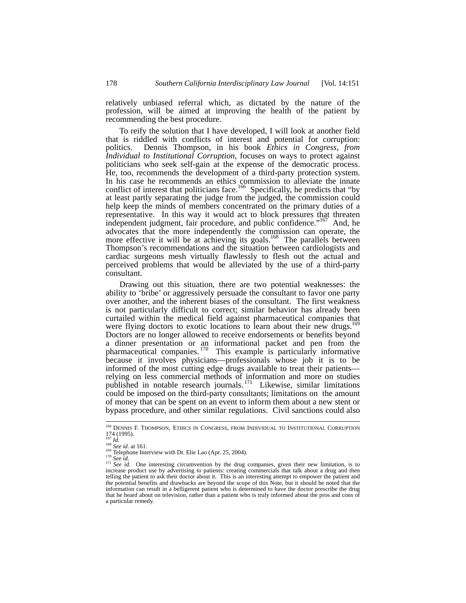relatively unbiased referral which, as dictated by the nature of the profession, will be aimed at improving the health of the patient by recommending the best procedure.

To reify the solution that I have developed, I will look at another field that is riddled with conflicts of interest and potential for corruption: politics. Dennis Thompson, in his book *Ethics in Congress, from Individual to Institutional Corruption*, focuses on ways to protect against politicians who seek self-gain at the expense of the democratic process. He, too, recommends the development of a third-party protection system. In his case he recommends an ethics commission to alleviate the innate conflict of interest that politicians face.<sup>166</sup> Specifically, he predicts that "by at least partly separating the judge from the judged, the commission could help keep the minds of members concentrated on the primary duties of a representative. In this way it would act to block pressures that threaten independent judgment, fair procedure, and public confidence."<sup>167</sup> And, he advocates that the more independently the commission can operate, the more effective it will be at achieving its goals.<sup>168</sup> The parallels between Thompson's recommendations and the situation between cardiologists and cardiac surgeons mesh virtually flawlessly to flesh out the actual and perceived problems that would be alleviated by the use of a third-party consultant.

Drawing out this situation, there are two potential weaknesses: the ability to 'bribe' or aggressively persuade the consultant to favor one party over another, and the inherent biases of the consultant. The first weakness is not particularly difficult to correct; similar behavior has already been curtailed within the medical field against pharmaceutical companies that were flying doctors to exotic locations to learn about their new drugs.<sup>1</sup> Doctors are no longer allowed to receive endorsements or benefits beyond a dinner presentation or an informational packet and pen from the pharmaceutical companies.<sup>170</sup> This example is particularly informative because it involves physicians—professionals whose job it is to be informed of the most cutting edge drugs available to treat their patients relying on less commercial methods of information and more on studies published in notable research journals.<sup>171</sup> Likewise, similar limitations could be imposed on the third-party consultants; limitations on the amount of money that can be spent on an event to inform them about a new stent or bypass procedure, and other similar regulations. Civil sanctions could also

 <sup>166</sup> DENNIS F. THOMPSON, ETHICS IN CONGRESS, FROM INDIVIDUAL TO INSTITUTIONAL CORRUPTION 174 (1995).<br><sup>168</sup> *Id.*<br><sup>168</sup> *See id.* at 161.<br><sup>169</sup> Telephone Interview with Dr. Elie Lao (Apr. 25, 2004).<br><sup>170</sup> *See id.* One interesting circumvention by the drug companies, given their new limitation, is to <sup>171</sup> *Se* 

increase product use by advertising to patients: creating commercials that talk about a drug and then telling the patient to ask their doctor about it. This is an interesting attempt to empower the patient and the potential benefits and drawbacks are beyond the scope of this Note, but it should be noted that the information can result in a belligerent patient who is determined to have the doctor prescribe the drug that he heard about on television, rather than a patient who is truly informed about the pros and cons of a particular remedy.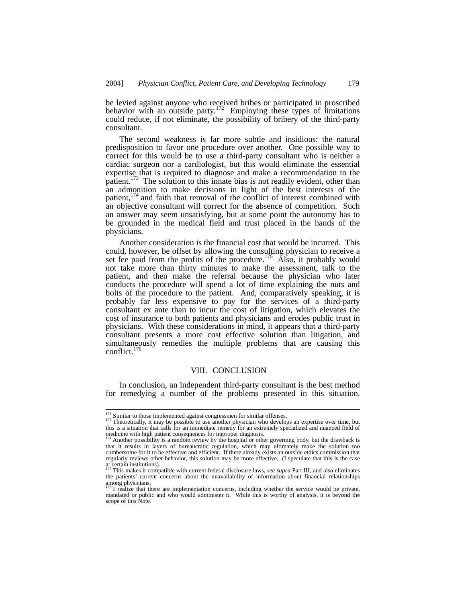be levied against anyone who received bribes or participated in proscribed behavior with an outside party.<sup>172</sup> Employing these types of limitations could reduce, if not eliminate, the possibility of bribery of the third-party consultant.

The second weakness is far more subtle and insidious: the natural predisposition to favor one procedure over another. One possible way to correct for this would be to use a third-party consultant who is neither a cardiac surgeon nor a cardiologist, but this would eliminate the essential expertise that is required to diagnose and make a recommendation to the patient.<sup>173</sup> The solution to this innate bias is not readily evident, other than an admonition to make decisions in light of the best interests of the patient, $174$  and faith that removal of the conflict of interest combined with an objective consultant will correct for the absence of competition. Such an answer may seem unsatisfying, but at some point the autonomy has to be grounded in the medical field and trust placed in the hands of the physicians.

Another consideration is the financial cost that would be incurred. This could, however, be offset by allowing the consulting physician to receive a set fee paid from the profits of the procedure.<sup>175</sup> Also, it probably would not take more than thirty minutes to make the assessment, talk to the patient, and then make the referral because the physician who later conducts the procedure will spend a lot of time explaining the nuts and bolts of the procedure to the patient. And, comparatively speaking, it is probably far less expensive to pay for the services of a third-party consultant ex ante than to incur the cost of litigation, which elevates the cost of insurance to both patients and physicians and erodes public trust in physicians. With these considerations in mind, it appears that a third-party consultant presents a more cost effective solution than litigation, and simultaneously remedies the multiple problems that are causing this conflict. $176$ 

## VIII. CONCLUSION

In conclusion, an independent third-party consultant is the best method for remedying a number of the problems presented in this situation.

 $173$  Similar to those implemented against congressmen for similar offenses.<br> $173$  Theoretically, it may be possible to use another physician who develops an expertise over time, but this is a situation that calls for an immediate remedy for an extremely specialized and nuanced field of medicine with high patient consequences for improper diagnosis.<br><sup>174</sup> Another possibility is a random review by the hospital or other governing body, but the drawback is

that it results in layers of bureaucratic regulation, which may ultimately make the solution too cumbersome for it to be effective and efficient. If there already exists an outside ethics commission that regularly reviews other behavior, this solution may be more effective. (I speculate that this is the case at certain institutions).<br> $^{175}$  This set of the set of the set of the set of the set of the set of the set of the set of the set of the set of the set of the set of the set of the set of the set of the set of the set of

<sup>175</sup> This makes it compatible with current federal disclosure laws, *see supra* Part III, and also eliminates the patients' current concerns about the unavailability of information about financial relationships

among physicians.<br><sup>176</sup> I realize that there are implementation concerns, including whether the service would be private, mandated or public and who would administer it. While this is worthy of analysis, it is beyond the scope of this Note.